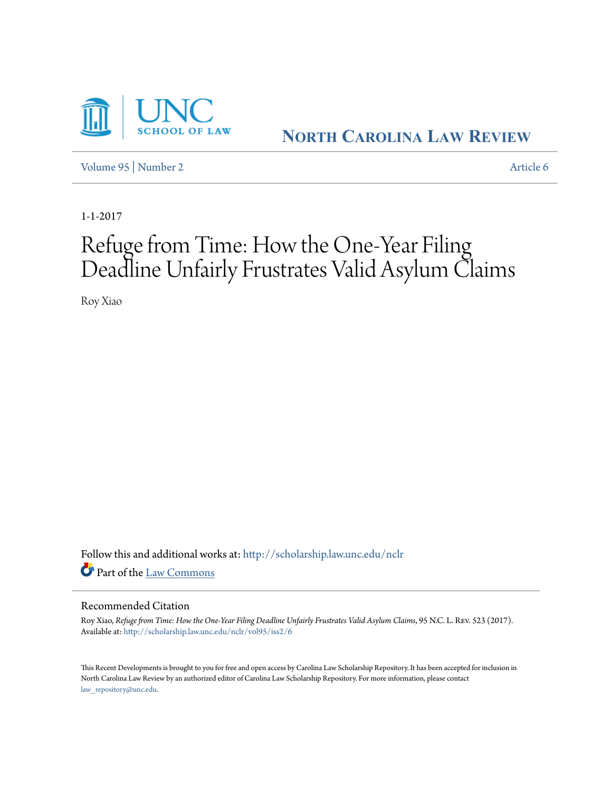

**NORTH C[AROLINA](http://scholarship.law.unc.edu/nclr?utm_source=scholarship.law.unc.edu%2Fnclr%2Fvol95%2Fiss2%2F6&utm_medium=PDF&utm_campaign=PDFCoverPages) LAW REVIEW**

[Volume 95](http://scholarship.law.unc.edu/nclr/vol95?utm_source=scholarship.law.unc.edu%2Fnclr%2Fvol95%2Fiss2%2F6&utm_medium=PDF&utm_campaign=PDFCoverPages) | [Number 2](http://scholarship.law.unc.edu/nclr/vol95/iss2?utm_source=scholarship.law.unc.edu%2Fnclr%2Fvol95%2Fiss2%2F6&utm_medium=PDF&utm_campaign=PDFCoverPages) [Article 6](http://scholarship.law.unc.edu/nclr/vol95/iss2/6?utm_source=scholarship.law.unc.edu%2Fnclr%2Fvol95%2Fiss2%2F6&utm_medium=PDF&utm_campaign=PDFCoverPages)

1-1-2017

# Refuge from Time: How the One-Year Filing Deadline Unfairly Frustrates Valid Asylum Claims

Roy Xiao

Follow this and additional works at: [http://scholarship.law.unc.edu/nclr](http://scholarship.law.unc.edu/nclr?utm_source=scholarship.law.unc.edu%2Fnclr%2Fvol95%2Fiss2%2F6&utm_medium=PDF&utm_campaign=PDFCoverPages) Part of the [Law Commons](http://network.bepress.com/hgg/discipline/578?utm_source=scholarship.law.unc.edu%2Fnclr%2Fvol95%2Fiss2%2F6&utm_medium=PDF&utm_campaign=PDFCoverPages)

## Recommended Citation

Roy Xiao, Refuge from Time: How the One-Year Filing Deadline Unfairly Frustrates Valid Asylum Claims, 95 N.C. L. REV. 523 (2017). Available at: [http://scholarship.law.unc.edu/nclr/vol95/iss2/6](http://scholarship.law.unc.edu/nclr/vol95/iss2/6?utm_source=scholarship.law.unc.edu%2Fnclr%2Fvol95%2Fiss2%2F6&utm_medium=PDF&utm_campaign=PDFCoverPages)

This Recent Developments is brought to you for free and open access by Carolina Law Scholarship Repository. It has been accepted for inclusion in North Carolina Law Review by an authorized editor of Carolina Law Scholarship Repository. For more information, please contact [law\\_repository@unc.edu.](mailto:law_repository@unc.edu)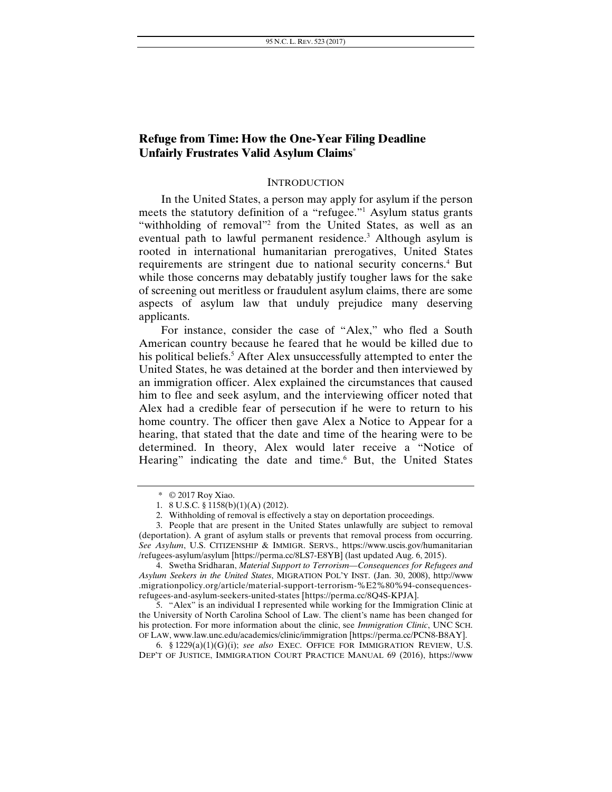# **Refuge from Time: How the One-Year Filing Deadline Unfairly Frustrates Valid Asylum Claims\***

#### **INTRODUCTION**

In the United States, a person may apply for asylum if the person meets the statutory definition of a "refugee."<sup>1</sup> Asylum status grants "withholding of removal"<sup>2</sup> from the United States, as well as an eventual path to lawful permanent residence.<sup>3</sup> Although asylum is rooted in international humanitarian prerogatives, United States requirements are stringent due to national security concerns.<sup>4</sup> But while those concerns may debatably justify tougher laws for the sake of screening out meritless or fraudulent asylum claims, there are some aspects of asylum law that unduly prejudice many deserving applicants.

For instance, consider the case of "Alex," who fled a South American country because he feared that he would be killed due to his political beliefs.<sup>5</sup> After Alex unsuccessfully attempted to enter the United States, he was detained at the border and then interviewed by an immigration officer. Alex explained the circumstances that caused him to flee and seek asylum, and the interviewing officer noted that Alex had a credible fear of persecution if he were to return to his home country. The officer then gave Alex a Notice to Appear for a hearing, that stated that the date and time of the hearing were to be determined. In theory, Alex would later receive a "Notice of Hearing" indicating the date and time.<sup>6</sup> But, the United States

<sup>\* © 2017</sup> Roy Xiao.

 <sup>1. 8</sup> U.S.C. § 1158(b)(1)(A) (2012).

 <sup>2.</sup> Withholding of removal is effectively a stay on deportation proceedings.

 <sup>3.</sup> People that are present in the United States unlawfully are subject to removal (deportation). A grant of asylum stalls or prevents that removal process from occurring. *See Asylum*, U.S. CITIZENSHIP & IMMIGR. SERVS., https://www.uscis.gov/humanitarian /refugees-asylum/asylum [https://perma.cc/8LS7-E8YB] (last updated Aug. 6, 2015).

 <sup>4.</sup> Swetha Sridharan, *Material Support to Terrorism—Consequences for Refugees and Asylum Seekers in the United States*, MIGRATION POL'Y INST. (Jan. 30, 2008), http://www .migrationpolicy.org/article/material-support-terrorism-%E2%80%94-consequencesrefugees-and-asylum-seekers-united-states [https://perma.cc/8Q4S-KPJA].

 <sup>5. &</sup>quot;Alex" is an individual I represented while working for the Immigration Clinic at the University of North Carolina School of Law. The client's name has been changed for his protection. For more information about the clinic, see *Immigration Clinic*, UNC SCH. OF LAW, www.law.unc.edu/academics/clinic/immigration [https://perma.cc/PCN8-B8AY].

 <sup>6. §</sup> 1229(a)(1)(G)(i); *see also* EXEC. OFFICE FOR IMMIGRATION REVIEW, U.S. DEP'T OF JUSTICE, IMMIGRATION COURT PRACTICE MANUAL 69 (2016), https://www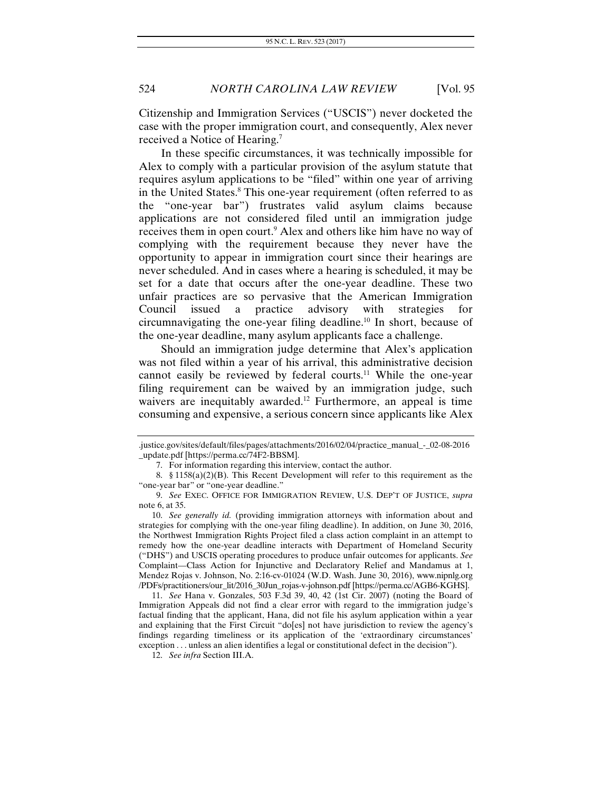Citizenship and Immigration Services ("USCIS") never docketed the case with the proper immigration court, and consequently, Alex never received a Notice of Hearing.7

In these specific circumstances, it was technically impossible for Alex to comply with a particular provision of the asylum statute that requires asylum applications to be "filed" within one year of arriving in the United States.<sup>8</sup> This one-year requirement (often referred to as the "one-year bar") frustrates valid asylum claims because applications are not considered filed until an immigration judge receives them in open court.<sup>9</sup> Alex and others like him have no way of complying with the requirement because they never have the opportunity to appear in immigration court since their hearings are never scheduled. And in cases where a hearing is scheduled, it may be set for a date that occurs after the one-year deadline. These two unfair practices are so pervasive that the American Immigration Council issued a practice advisory with strategies circumnavigating the one-year filing deadline.<sup>10</sup> In short, because of the one-year deadline, many asylum applicants face a challenge.

Should an immigration judge determine that Alex's application was not filed within a year of his arrival, this administrative decision cannot easily be reviewed by federal courts.<sup>11</sup> While the one-year filing requirement can be waived by an immigration judge, such waivers are inequitably awarded.<sup>12</sup> Furthermore, an appeal is time consuming and expensive, a serious concern since applicants like Alex

11. *See* Hana v. Gonzales, 503 F.3d 39, 40, 42 (1st Cir. 2007) (noting the Board of Immigration Appeals did not find a clear error with regard to the immigration judge's factual finding that the applicant, Hana, did not file his asylum application within a year and explaining that the First Circuit "do[es] not have jurisdiction to review the agency's findings regarding timeliness or its application of the 'extraordinary circumstances' exception . . . unless an alien identifies a legal or constitutional defect in the decision").

<sup>.</sup>justice.gov/sites/default/files/pages/attachments/2016/02/04/practice\_manual\_-\_02-08-2016 \_update.pdf [https://perma.cc/74F2-BBSM].

 <sup>7.</sup> For information regarding this interview, contact the author.

 <sup>8. §</sup> 1158(a)(2)(B). This Recent Development will refer to this requirement as the "one-year bar" or "one-year deadline."

 <sup>9.</sup> *See* EXEC. OFFICE FOR IMMIGRATION REVIEW, U.S. DEP'T OF JUSTICE, *supra* note 6, at 35.

<sup>10.</sup> *See generally id.* (providing immigration attorneys with information about and strategies for complying with the one-year filing deadline). In addition, on June 30, 2016, the Northwest Immigration Rights Project filed a class action complaint in an attempt to remedy how the one-year deadline interacts with Department of Homeland Security ("DHS") and USCIS operating procedures to produce unfair outcomes for applicants. *See*  Complaint—Class Action for Injunctive and Declaratory Relief and Mandamus at 1, Mendez Rojas v. Johnson, No. 2:16-cv-01024 (W.D. Wash. June 30, 2016), www.nipnlg.org /PDFs/practitioners/our\_lit/2016\_30Jun\_rojas-v-johnson.pdf [https://perma.cc/AGB6-KGHS].

 <sup>12.</sup> *See infra* Section III.A.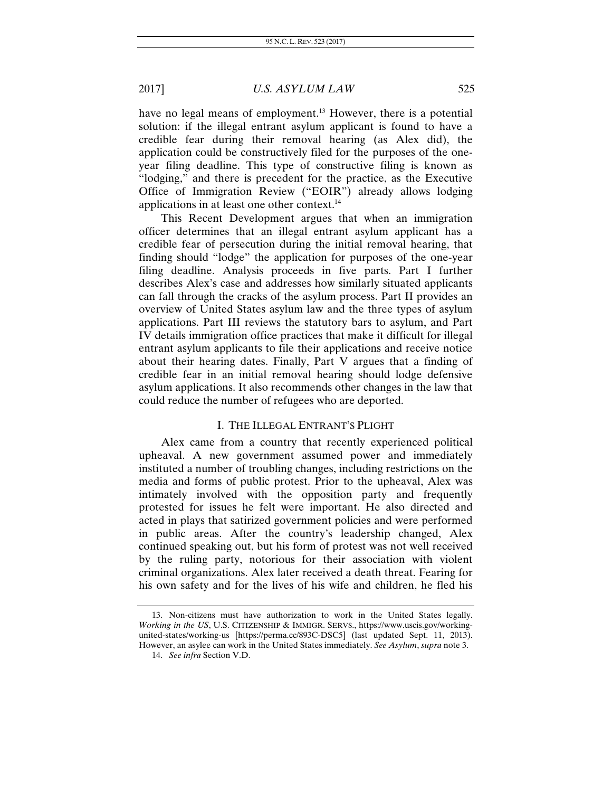have no legal means of employment.<sup>13</sup> However, there is a potential solution: if the illegal entrant asylum applicant is found to have a credible fear during their removal hearing (as Alex did), the application could be constructively filed for the purposes of the oneyear filing deadline. This type of constructive filing is known as "lodging," and there is precedent for the practice, as the Executive Office of Immigration Review ("EOIR") already allows lodging applications in at least one other context.<sup>14</sup>

This Recent Development argues that when an immigration officer determines that an illegal entrant asylum applicant has a credible fear of persecution during the initial removal hearing, that finding should "lodge" the application for purposes of the one-year filing deadline. Analysis proceeds in five parts. Part I further describes Alex's case and addresses how similarly situated applicants can fall through the cracks of the asylum process. Part II provides an overview of United States asylum law and the three types of asylum applications. Part III reviews the statutory bars to asylum, and Part IV details immigration office practices that make it difficult for illegal entrant asylum applicants to file their applications and receive notice about their hearing dates. Finally, Part V argues that a finding of credible fear in an initial removal hearing should lodge defensive asylum applications. It also recommends other changes in the law that could reduce the number of refugees who are deported.

#### I. THE ILLEGAL ENTRANT'S PLIGHT

Alex came from a country that recently experienced political upheaval. A new government assumed power and immediately instituted a number of troubling changes, including restrictions on the media and forms of public protest. Prior to the upheaval, Alex was intimately involved with the opposition party and frequently protested for issues he felt were important. He also directed and acted in plays that satirized government policies and were performed in public areas. After the country's leadership changed, Alex continued speaking out, but his form of protest was not well received by the ruling party, notorious for their association with violent criminal organizations. Alex later received a death threat. Fearing for his own safety and for the lives of his wife and children, he fled his

 <sup>13.</sup> Non-citizens must have authorization to work in the United States legally. *Working in the US*, U.S. CITIZENSHIP & IMMIGR. SERVS., https://www.uscis.gov/workingunited-states/working-us [https://perma.cc/893C-DSC5] (last updated Sept. 11, 2013). However, an asylee can work in the United States immediately. *See Asylum*, *supra* note 3.

<sup>14.</sup> *See infra* Section V.D.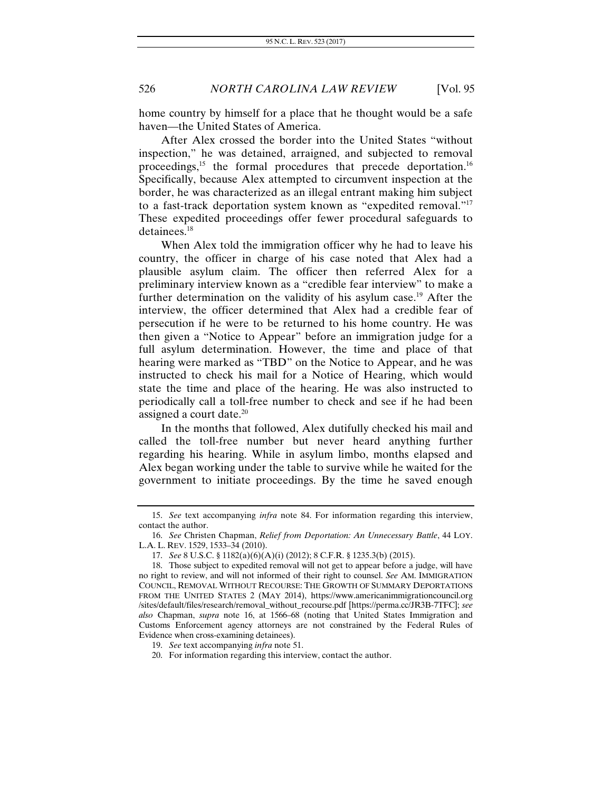home country by himself for a place that he thought would be a safe haven—the United States of America.

After Alex crossed the border into the United States "without inspection," he was detained, arraigned, and subjected to removal proceedings,<sup>15</sup> the formal procedures that precede deportation.<sup>16</sup> Specifically, because Alex attempted to circumvent inspection at the border, he was characterized as an illegal entrant making him subject to a fast-track deportation system known as "expedited removal."17 These expedited proceedings offer fewer procedural safeguards to detainees.18

When Alex told the immigration officer why he had to leave his country, the officer in charge of his case noted that Alex had a plausible asylum claim. The officer then referred Alex for a preliminary interview known as a "credible fear interview" to make a further determination on the validity of his asylum case.<sup>19</sup> After the interview, the officer determined that Alex had a credible fear of persecution if he were to be returned to his home country. He was then given a "Notice to Appear" before an immigration judge for a full asylum determination. However, the time and place of that hearing were marked as "TBD" on the Notice to Appear, and he was instructed to check his mail for a Notice of Hearing, which would state the time and place of the hearing. He was also instructed to periodically call a toll-free number to check and see if he had been assigned a court date.<sup>20</sup>

In the months that followed, Alex dutifully checked his mail and called the toll-free number but never heard anything further regarding his hearing. While in asylum limbo, months elapsed and Alex began working under the table to survive while he waited for the government to initiate proceedings. By the time he saved enough

 <sup>15.</sup> *See* text accompanying *infra* note 84. For information regarding this interview, contact the author.

 <sup>16.</sup> *See* Christen Chapman, *Relief from Deportation: An Unnecessary Battle*, 44 LOY. L.A. L. REV. 1529, 1533–34 (2010).

 <sup>17.</sup> *See* 8 U.S.C. § 1182(a)(6)(A)(i) (2012); 8 C.F.R. § 1235.3(b) (2015).

 <sup>18.</sup> Those subject to expedited removal will not get to appear before a judge, will have no right to review, and will not informed of their right to counsel. *See* AM. IMMIGRATION COUNCIL, REMOVAL WITHOUT RECOURSE: THE GROWTH OF SUMMARY DEPORTATIONS FROM THE UNITED STATES 2 (MAY 2014), https://www.americanimmigrationcouncil.org /sites/default/files/research/removal\_without\_recourse.pdf [https://perma.cc/JR3B-7TFC]; *see also* Chapman, *supra* note 16, at 1566–68 (noting that United States Immigration and Customs Enforcement agency attorneys are not constrained by the Federal Rules of Evidence when cross-examining detainees).

 <sup>19.</sup> *See* text accompanying *infra* note 51.

 <sup>20.</sup> For information regarding this interview, contact the author.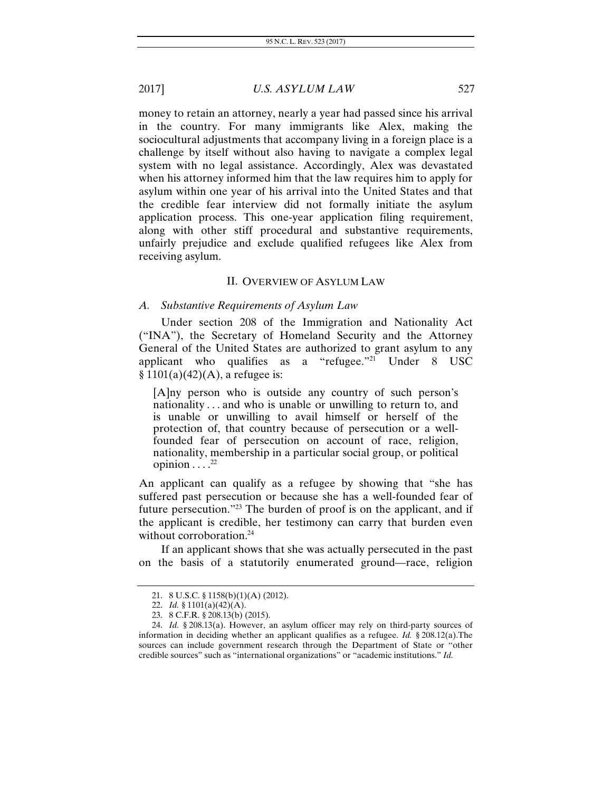money to retain an attorney, nearly a year had passed since his arrival in the country. For many immigrants like Alex, making the sociocultural adjustments that accompany living in a foreign place is a challenge by itself without also having to navigate a complex legal system with no legal assistance. Accordingly, Alex was devastated when his attorney informed him that the law requires him to apply for asylum within one year of his arrival into the United States and that the credible fear interview did not formally initiate the asylum application process. This one-year application filing requirement, along with other stiff procedural and substantive requirements, unfairly prejudice and exclude qualified refugees like Alex from receiving asylum.

#### II. OVERVIEW OF ASYLUM LAW

#### *A. Substantive Requirements of Asylum Law*

Under section 208 of the Immigration and Nationality Act ("INA"), the Secretary of Homeland Security and the Attorney General of the United States are authorized to grant asylum to any applicant who qualifies as a "refugee."<sup>21</sup> Under  $8$  USC  $$1101(a)(42)(A)$ , a refugee is:

[A]ny person who is outside any country of such person's nationality . . . and who is unable or unwilling to return to, and is unable or unwilling to avail himself or herself of the protection of, that country because of persecution or a wellfounded fear of persecution on account of race, religion, nationality, membership in a particular social group, or political opinion  $\dots$ <sup>22</sup>

An applicant can qualify as a refugee by showing that "she has suffered past persecution or because she has a well-founded fear of future persecution."23 The burden of proof is on the applicant, and if the applicant is credible, her testimony can carry that burden even without corroboration.<sup>24</sup>

If an applicant shows that she was actually persecuted in the past on the basis of a statutorily enumerated ground—race, religion

 <sup>21. 8</sup> U.S.C. § 1158(b)(1)(A) (2012).

 <sup>22.</sup> *Id.* § 1101(a)(42)(A).

 <sup>23. 8</sup> C.F.R. § 208.13(b) (2015).

<sup>24.</sup> *Id.* § 208.13(a). However, an asylum officer may rely on third-party sources of information in deciding whether an applicant qualifies as a refugee. *Id.* § 208.12(a).The sources can include government research through the Department of State or "other credible sources" such as "international organizations" or "academic institutions." *Id.*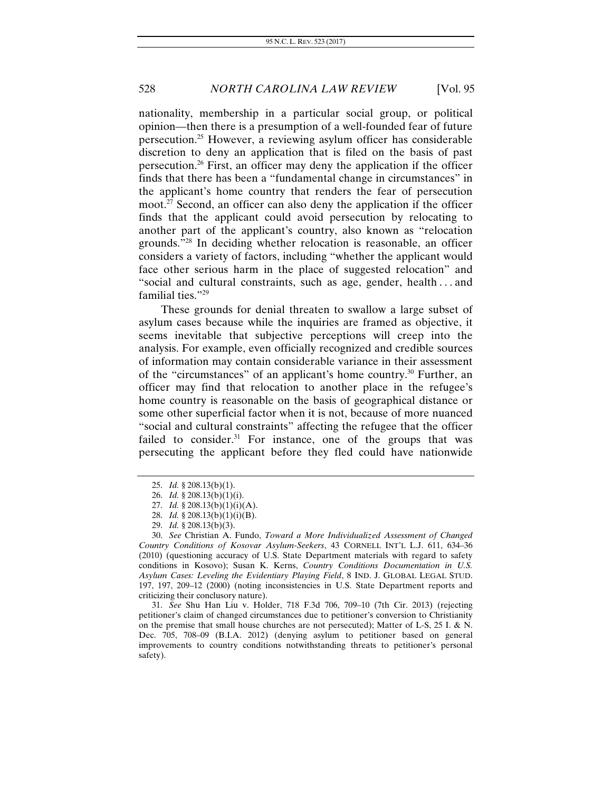nationality, membership in a particular social group, or political opinion—then there is a presumption of a well-founded fear of future persecution.<sup>25</sup> However, a reviewing asylum officer has considerable discretion to deny an application that is filed on the basis of past persecution.26 First, an officer may deny the application if the officer finds that there has been a "fundamental change in circumstances" in the applicant's home country that renders the fear of persecution moot.27 Second, an officer can also deny the application if the officer finds that the applicant could avoid persecution by relocating to another part of the applicant's country, also known as "relocation grounds."28 In deciding whether relocation is reasonable, an officer considers a variety of factors, including "whether the applicant would face other serious harm in the place of suggested relocation" and "social and cultural constraints, such as age, gender, health . . . and familial ties."<sup>29</sup>

These grounds for denial threaten to swallow a large subset of asylum cases because while the inquiries are framed as objective, it seems inevitable that subjective perceptions will creep into the analysis. For example, even officially recognized and credible sources of information may contain considerable variance in their assessment of the "circumstances" of an applicant's home country.<sup>30</sup> Further, an officer may find that relocation to another place in the refugee's home country is reasonable on the basis of geographical distance or some other superficial factor when it is not, because of more nuanced "social and cultural constraints" affecting the refugee that the officer failed to consider. $31$  For instance, one of the groups that was persecuting the applicant before they fled could have nationwide

<sup>25.</sup> *Id.* § 208.13(b)(1).

<sup>26.</sup> *Id.* § 208.13(b)(1)(i).

<sup>27.</sup> *Id.* § 208.13(b)(1)(i)(A).

<sup>28.</sup> *Id.* § 208.13(b)(1)(i)(B).

<sup>29.</sup> *Id.* § 208.13(b)(3).

<sup>30.</sup> *See* Christian A. Fundo, *Toward a More Individualized Assessment of Changed Country Conditions of Kosovar Asylum-Seekers*, 43 CORNELL INT'L L.J. 611, 634–36 (2010) (questioning accuracy of U.S. State Department materials with regard to safety conditions in Kosovo); Susan K. Kerns, *Country Conditions Documentation in U.S. Asylum Cases: Leveling the Evidentiary Playing Field*, 8 IND. J. GLOBAL LEGAL STUD. 197, 197, 209–12 (2000) (noting inconsistencies in U.S. State Department reports and criticizing their conclusory nature).

<sup>31.</sup> *See* Shu Han Liu v. Holder, 718 F.3d 706, 709–10 (7th Cir. 2013) (rejecting petitioner's claim of changed circumstances due to petitioner's conversion to Christianity on the premise that small house churches are not persecuted); Matter of L-S, 25 I.  $\&$  N. Dec. 705, 708–09 (B.I.A. 2012) (denying asylum to petitioner based on general improvements to country conditions notwithstanding threats to petitioner's personal safety).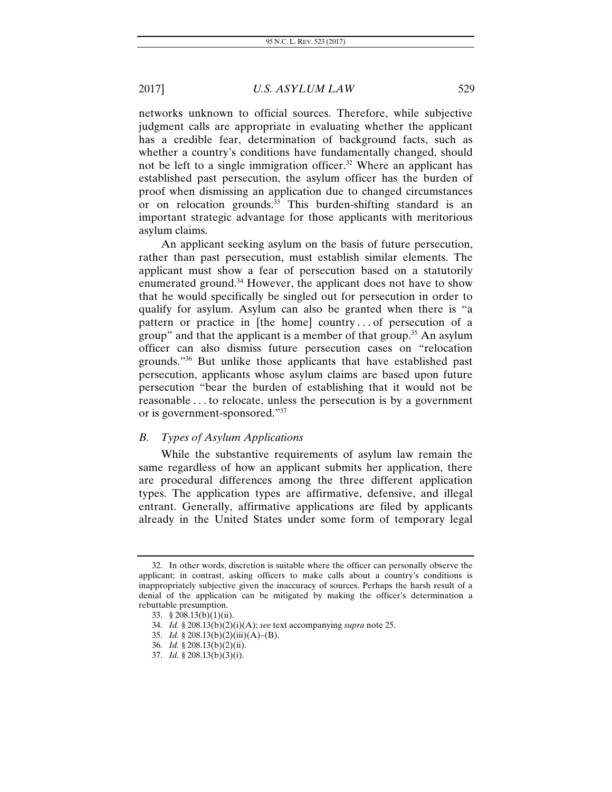networks unknown to official sources. Therefore, while subjective judgment calls are appropriate in evaluating whether the applicant has a credible fear, determination of background facts, such as whether a country's conditions have fundamentally changed, should not be left to a single immigration officer.<sup>32</sup> Where an applicant has established past persecution, the asylum officer has the burden of proof when dismissing an application due to changed circumstances or on relocation grounds.<sup>33</sup> This burden-shifting standard is an important strategic advantage for those applicants with meritorious asylum claims.

An applicant seeking asylum on the basis of future persecution, rather than past persecution, must establish similar elements. The applicant must show a fear of persecution based on a statutorily enumerated ground.<sup>34</sup> However, the applicant does not have to show that he would specifically be singled out for persecution in order to qualify for asylum. Asylum can also be granted when there is "a pattern or practice in [the home] country . . . of persecution of a group" and that the applicant is a member of that group.<sup>35</sup> An asylum officer can also dismiss future persecution cases on "relocation grounds."36 But unlike those applicants that have established past persecution, applicants whose asylum claims are based upon future persecution "bear the burden of establishing that it would not be reasonable . . . to relocate, unless the persecution is by a government or is government-sponsored."37

### *B. Types of Asylum Applications*

While the substantive requirements of asylum law remain the same regardless of how an applicant submits her application, there are procedural differences among the three different application types. The application types are affirmative, defensive, and illegal entrant. Generally, affirmative applications are filed by applicants already in the United States under some form of temporary legal

 <sup>32.</sup> In other words, discretion is suitable where the officer can personally observe the applicant; in contrast, asking officers to make calls about a country's conditions is inappropriately subjective given the inaccuracy of sources. Perhaps the harsh result of a denial of the application can be mitigated by making the officer's determination a rebuttable presumption.

 <sup>33. §</sup> 208.13(b)(1)(ii).

<sup>34.</sup> *Id.* § 208.13(b)(2)(i)(A); *see* text accompanying *supra* note 25.

<sup>35.</sup> *Id.* § 208.13(b)(2)(iii)(A)–(B).

<sup>36.</sup> *Id.* § 208.13(b)(2)(ii).

<sup>37.</sup> *Id.* § 208.13(b)(3)(i).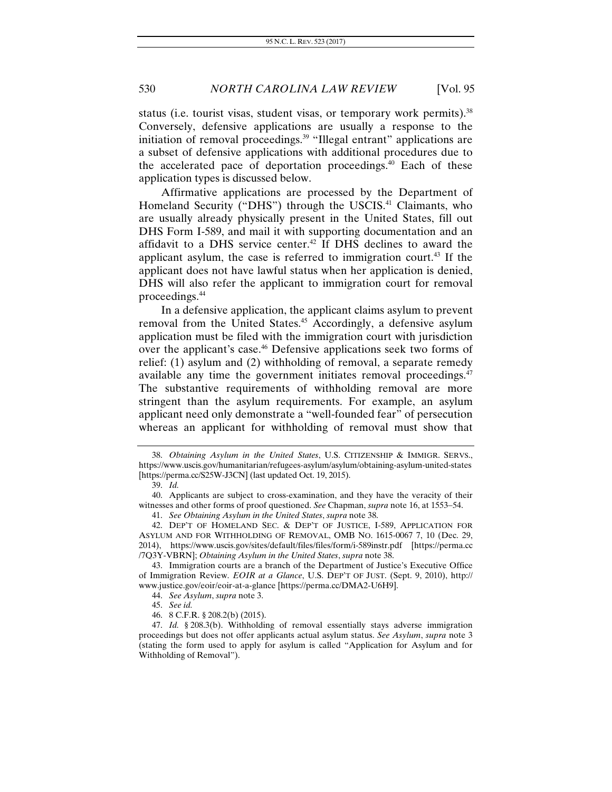status (i.e. tourist visas, student visas, or temporary work permits).<sup>38</sup> Conversely, defensive applications are usually a response to the initiation of removal proceedings.<sup>39</sup> "Illegal entrant" applications are a subset of defensive applications with additional procedures due to the accelerated pace of deportation proceedings.40 Each of these application types is discussed below.

Affirmative applications are processed by the Department of Homeland Security ("DHS") through the USCIS.<sup>41</sup> Claimants, who are usually already physically present in the United States, fill out DHS Form I-589, and mail it with supporting documentation and an affidavit to a DHS service center.<sup>42</sup> If DHS declines to award the applicant asylum, the case is referred to immigration court.43 If the applicant does not have lawful status when her application is denied, DHS will also refer the applicant to immigration court for removal proceedings.44

In a defensive application, the applicant claims asylum to prevent removal from the United States.<sup>45</sup> Accordingly, a defensive asylum application must be filed with the immigration court with jurisdiction over the applicant's case.<sup>46</sup> Defensive applications seek two forms of relief: (1) asylum and (2) withholding of removal, a separate remedy available any time the government initiates removal proceedings.<sup>47</sup> The substantive requirements of withholding removal are more stringent than the asylum requirements. For example, an asylum applicant need only demonstrate a "well-founded fear" of persecution whereas an applicant for withholding of removal must show that

<sup>38.</sup> *Obtaining Asylum in the United States*, U.S. CITIZENSHIP & IMMIGR. SERVS., https://www.uscis.gov/humanitarian/refugees-asylum/asylum/obtaining-asylum-united-states [https://perma.cc/S25W-J3CN] (last updated Oct. 19, 2015).

 <sup>39.</sup> *Id.*

<sup>40.</sup> Applicants are subject to cross-examination, and they have the veracity of their witnesses and other forms of proof questioned. *See* Chapman, *supra* note 16, at 1553–54.

<sup>41.</sup> *See Obtaining Asylum in the United States*, *supra* note 38.

<sup>42.</sup> DEP'T OF HOMELAND SEC. & DEP'T OF JUSTICE, I-589, APPLICATION FOR ASYLUM AND FOR WITHHOLDING OF REMOVAL, OMB NO. 1615-0067 7, 10 (Dec. 29, 2014), https://www.uscis.gov/sites/default/files/files/form/i-589instr.pdf [https://perma.cc /7Q3Y-VBRN]; *Obtaining Asylum in the United States*, *supra* note 38.

 <sup>43.</sup> Immigration courts are a branch of the Department of Justice's Executive Office of Immigration Review. *EOIR at a Glance*, U.S. DEP'T OF JUST. (Sept. 9, 2010), http:// www.justice.gov/eoir/eoir-at-a-glance [https://perma.cc/DMA2-U6H9].

<sup>44.</sup> *See Asylum*, *supra* note 3.

<sup>45.</sup> *See id.*

 <sup>46. 8</sup> C.F.R. § 208.2(b) (2015).

 <sup>47.</sup> *Id.* § 208.3(b). Withholding of removal essentially stays adverse immigration proceedings but does not offer applicants actual asylum status. *See Asylum*, *supra* note 3 (stating the form used to apply for asylum is called "Application for Asylum and for Withholding of Removal").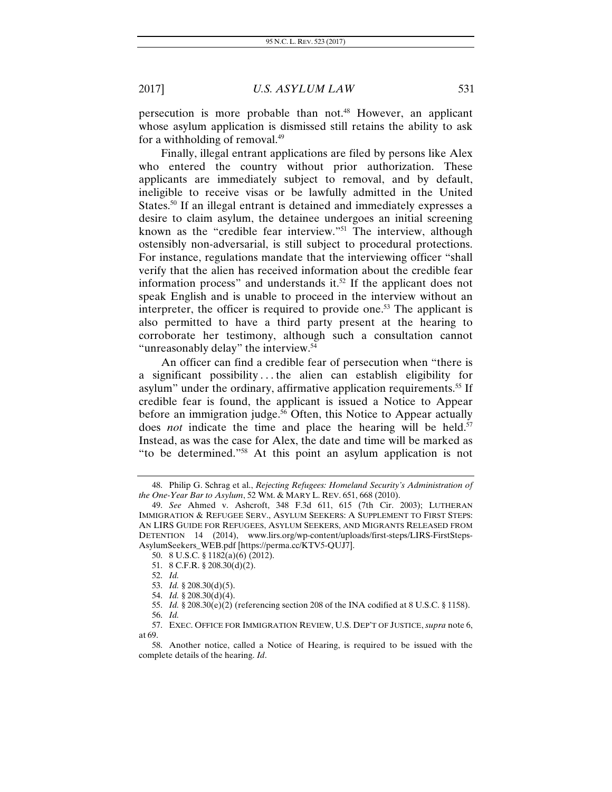persecution is more probable than not.48 However, an applicant whose asylum application is dismissed still retains the ability to ask for a withholding of removal.<sup>49</sup>

Finally, illegal entrant applications are filed by persons like Alex who entered the country without prior authorization. These applicants are immediately subject to removal, and by default, ineligible to receive visas or be lawfully admitted in the United States.<sup>50</sup> If an illegal entrant is detained and immediately expresses a desire to claim asylum, the detainee undergoes an initial screening known as the "credible fear interview."<sup>51</sup> The interview, although ostensibly non-adversarial, is still subject to procedural protections. For instance, regulations mandate that the interviewing officer "shall verify that the alien has received information about the credible fear information process" and understands it.<sup>52</sup> If the applicant does not speak English and is unable to proceed in the interview without an interpreter, the officer is required to provide one.<sup>53</sup> The applicant is also permitted to have a third party present at the hearing to corroborate her testimony, although such a consultation cannot "unreasonably delay" the interview.<sup>54</sup>

An officer can find a credible fear of persecution when "there is a significant possibility . . . the alien can establish eligibility for asylum" under the ordinary, affirmative application requirements.<sup>55</sup> If credible fear is found, the applicant is issued a Notice to Appear before an immigration judge.<sup>56</sup> Often, this Notice to Appear actually does *not* indicate the time and place the hearing will be held.<sup>57</sup> Instead, as was the case for Alex, the date and time will be marked as "to be determined."58 At this point an asylum application is not

 <sup>48.</sup> Philip G. Schrag et al., *Rejecting Refugees: Homeland Security's Administration of the One-Year Bar to Asylum*, 52 WM. & MARY L. REV. 651, 668 (2010).

<sup>49.</sup> *See* Ahmed v. Ashcroft, 348 F.3d 611, 615 (7th Cir. 2003); LUTHERAN IMMIGRATION & REFUGEE SERV., ASYLUM SEEKERS: A SUPPLEMENT TO FIRST STEPS: AN LIRS GUIDE FOR REFUGEES, ASYLUM SEEKERS, AND MIGRANTS RELEASED FROM DETENTION 14 (2014), www.lirs.org/wp-content/uploads/first-steps/LIRS-FirstSteps-AsylumSeekers\_WEB.pdf [https://perma.cc/KTV5-QUJ7].

 <sup>50. 8</sup> U.S.C. § 1182(a)(6) (2012).

<sup>51. 8</sup> C.F.R. § 208.30(d)(2).

<sup>52.</sup> *Id.*

<sup>53.</sup> *Id.* § 208.30(d)(5).

<sup>54.</sup> *Id.* § 208.30(d)(4).

<sup>55.</sup> *Id.* § 208.30(e)(2) (referencing section 208 of the INA codified at 8 U.S.C. § 1158). 56. *Id.*

 <sup>57.</sup> EXEC. OFFICE FOR IMMIGRATION REVIEW, U.S. DEP'T OF JUSTICE, *supra* note 6, at 69.

 <sup>58.</sup> Another notice, called a Notice of Hearing, is required to be issued with the complete details of the hearing. *Id*.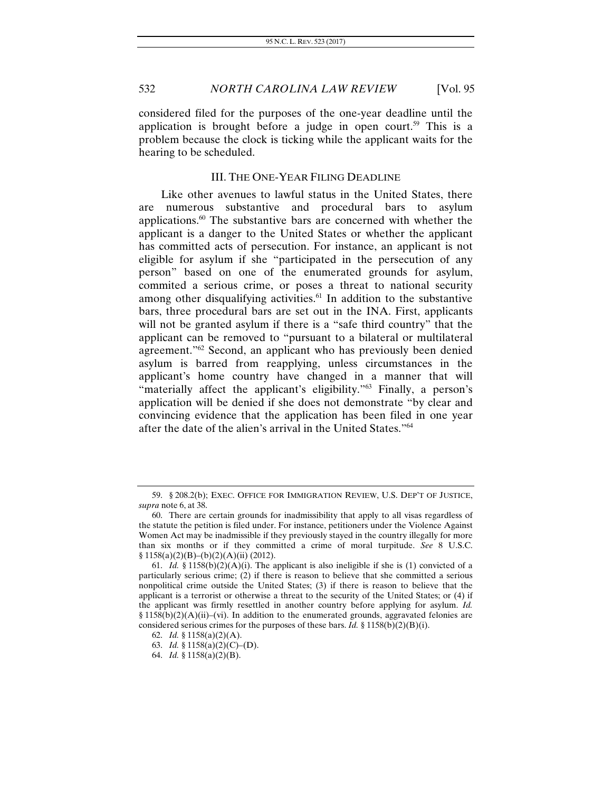considered filed for the purposes of the one-year deadline until the application is brought before a judge in open court.<sup>59</sup> This is a problem because the clock is ticking while the applicant waits for the hearing to be scheduled.

#### III. THE ONE-YEAR FILING DEADLINE

Like other avenues to lawful status in the United States, there are numerous substantive and procedural bars to asylum applications.60 The substantive bars are concerned with whether the applicant is a danger to the United States or whether the applicant has committed acts of persecution. For instance, an applicant is not eligible for asylum if she "participated in the persecution of any person" based on one of the enumerated grounds for asylum, commited a serious crime, or poses a threat to national security among other disqualifying activities.<sup>61</sup> In addition to the substantive bars, three procedural bars are set out in the INA. First, applicants will not be granted asylum if there is a "safe third country" that the applicant can be removed to "pursuant to a bilateral or multilateral agreement."62 Second, an applicant who has previously been denied asylum is barred from reapplying, unless circumstances in the applicant's home country have changed in a manner that will "materially affect the applicant's eligibility."<sup>63</sup> Finally, a person's application will be denied if she does not demonstrate "by clear and convincing evidence that the application has been filed in one year after the date of the alien's arrival in the United States."64

 <sup>59. §</sup> 208.2(b); EXEC. OFFICE FOR IMMIGRATION REVIEW, U.S. DEP'T OF JUSTICE, *supra* note 6, at 38.

 <sup>60.</sup> There are certain grounds for inadmissibility that apply to all visas regardless of the statute the petition is filed under. For instance, petitioners under the Violence Against Women Act may be inadmissible if they previously stayed in the country illegally for more than six months or if they committed a crime of moral turpitude. *See* 8 U.S.C.  $§ 1158(a)(2)(B)–(b)(2)(A)(ii) (2012).$ 

<sup>61.</sup> *Id.* § 1158(b)(2)(A)(i). The applicant is also ineligible if she is (1) convicted of a particularly serious crime; (2) if there is reason to believe that she committed a serious nonpolitical crime outside the United States; (3) if there is reason to believe that the applicant is a terrorist or otherwise a threat to the security of the United States; or (4) if the applicant was firmly resettled in another country before applying for asylum. *Id.*  $§ 1158(b)(2)(A)(ii)–(vi)$ . In addition to the enumerated grounds, aggravated felonies are considered serious crimes for the purposes of these bars. *Id.* § 1158(b)(2)(B)(i).

<sup>62.</sup> *Id.* § 1158(a)(2)(A).

<sup>63.</sup> *Id.* § 1158(a)(2)(C)–(D).

<sup>64.</sup> *Id.* § 1158(a)(2)(B).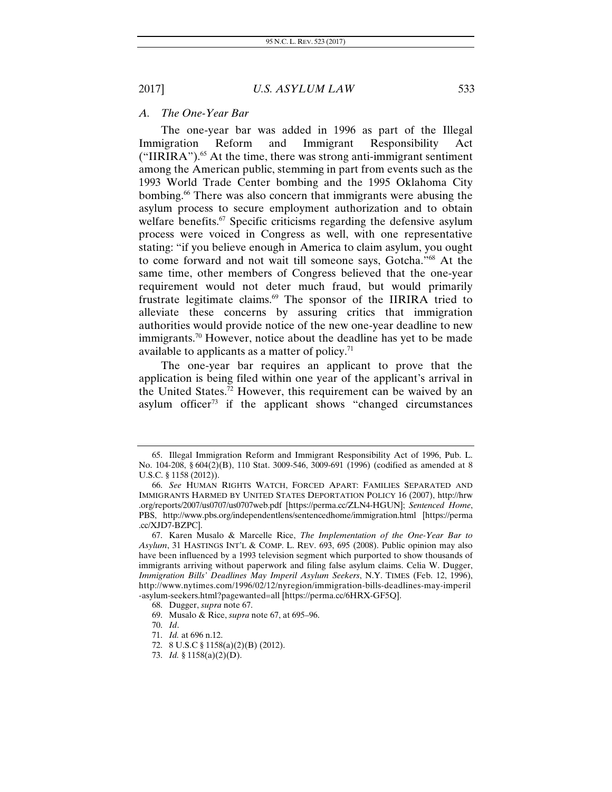#### *A. The One-Year Bar*

The one-year bar was added in 1996 as part of the Illegal Immigration Reform and Immigrant Responsibility Act  $("IIRIRA")$ <sup>65</sup> At the time, there was strong anti-immigrant sentiment among the American public, stemming in part from events such as the 1993 World Trade Center bombing and the 1995 Oklahoma City bombing.<sup>66</sup> There was also concern that immigrants were abusing the asylum process to secure employment authorization and to obtain welfare benefits.<sup>67</sup> Specific criticisms regarding the defensive asylum process were voiced in Congress as well, with one representative stating: "if you believe enough in America to claim asylum, you ought to come forward and not wait till someone says, Gotcha."68 At the same time, other members of Congress believed that the one-year requirement would not deter much fraud, but would primarily frustrate legitimate claims.69 The sponsor of the IIRIRA tried to alleviate these concerns by assuring critics that immigration authorities would provide notice of the new one-year deadline to new immigrants.<sup>70</sup> However, notice about the deadline has yet to be made available to applicants as a matter of policy. $71$ 

The one-year bar requires an applicant to prove that the application is being filed within one year of the applicant's arrival in the United States.<sup>72</sup> However, this requirement can be waived by an asylum officer<sup>73</sup> if the applicant shows "changed circumstances"

 <sup>65.</sup> Illegal Immigration Reform and Immigrant Responsibility Act of 1996, Pub. L. No. 104-208, § 604(2)(B), 110 Stat. 3009-546, 3009-691 (1996) (codified as amended at 8 U.S.C. § 1158 (2012)).

<sup>66.</sup> *See* HUMAN RIGHTS WATCH, FORCED APART: FAMILIES SEPARATED AND IMMIGRANTS HARMED BY UNITED STATES DEPORTATION POLICY 16 (2007), http://hrw .org/reports/2007/us0707/us0707web.pdf [https://perma.cc/ZLN4-HGUN]; *Sentenced Home*, PBS, http://www.pbs.org/independentlens/sentencedhome/immigration.html [https://perma .cc/XJD7-BZPC].

 <sup>67.</sup> Karen Musalo & Marcelle Rice, *The Implementation of the One-Year Bar to Asylum*, 31 HASTINGS INT'L & COMP. L. REV. 693, 695 (2008). Public opinion may also have been influenced by a 1993 television segment which purported to show thousands of immigrants arriving without paperwork and filing false asylum claims. Celia W. Dugger, *Immigration Bills' Deadlines May Imperil Asylum Seekers*, N.Y. TIMES (Feb. 12, 1996), http://www.nytimes.com/1996/02/12/nyregion/immigration-bills-deadlines-may-imperil -asylum-seekers.html?pagewanted=all [https://perma.cc/6HRX-GF5Q].

 <sup>68.</sup> Dugger, *supra* note 67.

 <sup>69.</sup> Musalo & Rice, *supra* note 67, at 695–96.

 <sup>70.</sup> *Id*.

<sup>71.</sup> *Id.* at 696 n.12.

 <sup>72. 8</sup> U.S.C § 1158(a)(2)(B) (2012).

 <sup>73.</sup> *Id.* § 1158(a)(2)(D).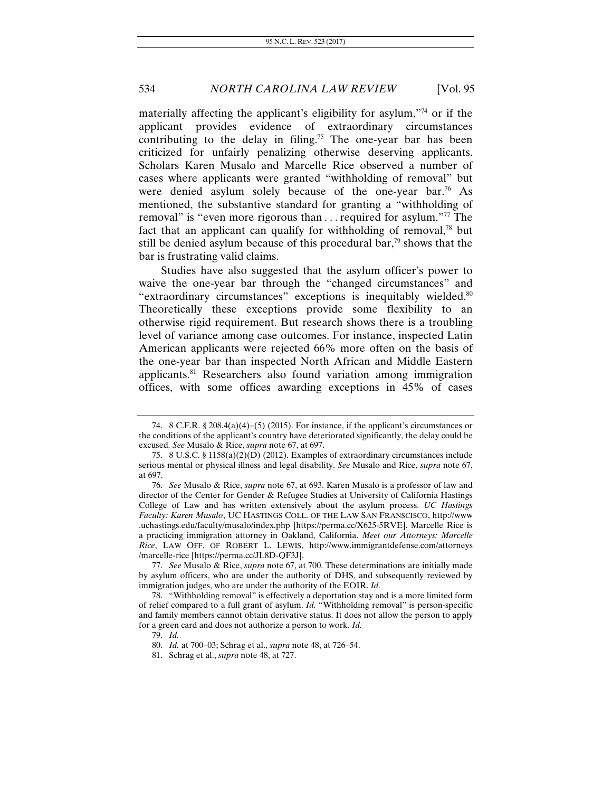materially affecting the applicant's eligibility for asylum,"74 or if the applicant provides evidence of extraordinary circumstances contributing to the delay in filing.<sup>75</sup> The one-year bar has been criticized for unfairly penalizing otherwise deserving applicants. Scholars Karen Musalo and Marcelle Rice observed a number of cases where applicants were granted "withholding of removal" but were denied asylum solely because of the one-year bar.<sup>76</sup> As mentioned, the substantive standard for granting a "withholding of removal" is "even more rigorous than . . . required for asylum."77 The fact that an applicant can qualify for withholding of removal, $78$  but still be denied asylum because of this procedural bar, $\frac{79}{9}$  shows that the bar is frustrating valid claims.

Studies have also suggested that the asylum officer's power to waive the one-year bar through the "changed circumstances" and "extraordinary circumstances" exceptions is inequitably wielded.<sup>80</sup> Theoretically these exceptions provide some flexibility to an otherwise rigid requirement. But research shows there is a troubling level of variance among case outcomes. For instance, inspected Latin American applicants were rejected 66% more often on the basis of the one-year bar than inspected North African and Middle Eastern applicants.81 Researchers also found variation among immigration offices, with some offices awarding exceptions in 45% of cases

<sup>74. 8</sup> C.F.R.  $\S 208.4(a)(4)$ –(5) (2015). For instance, if the applicant's circumstances or the conditions of the applicant's country have deteriorated significantly, the delay could be excused. *See* Musalo & Rice, *supra* note 67, at 697.

 <sup>75. 8</sup> U.S.C. § 1158(a)(2)(D) (2012). Examples of extraordinary circumstances include serious mental or physical illness and legal disability. *See* Musalo and Rice, *supra* note 67, at 697.

 <sup>76.</sup> *See* Musalo & Rice, *supra* note 67, at 693. Karen Musalo is a professor of law and director of the Center for Gender & Refugee Studies at University of California Hastings College of Law and has written extensively about the asylum process. *UC Hastings Faculty: Karen Musalo*, UC HASTINGS COLL. OF THE LAW SAN FRANSCISCO, http://www .uchastings.edu/faculty/musalo/index.php [https://perma.cc/X625-5RVE]. Marcelle Rice is a practicing immigration attorney in Oakland, California. *Meet our Attorneys: Marcelle Rice*, LAW OFF. OF ROBERT L. LEWIS, http://www.immigrantdefense.com/attorneys /marcelle-rice [https://perma.cc/JL8D-QF3J].

 <sup>77.</sup> *See* Musalo & Rice, *supra* note 67, at 700. These determinations are initially made by asylum officers, who are under the authority of DHS, and subsequently reviewed by immigration judges, who are under the authority of the EOIR. *Id.*

 <sup>78. &</sup>quot;Withholding removal" is effectively a deportation stay and is a more limited form of relief compared to a full grant of asylum. *Id.* "Withholding removal" is person-specific and family members cannot obtain derivative status. It does not allow the person to apply for a green card and does not authorize a person to work. *Id.* 

<sup>79.</sup> *Id.*

<sup>80.</sup> *Id.* at 700–03; Schrag et al., *supra* note 48, at 726–54.

 <sup>81.</sup> Schrag et al., *supra* note 48, at 727.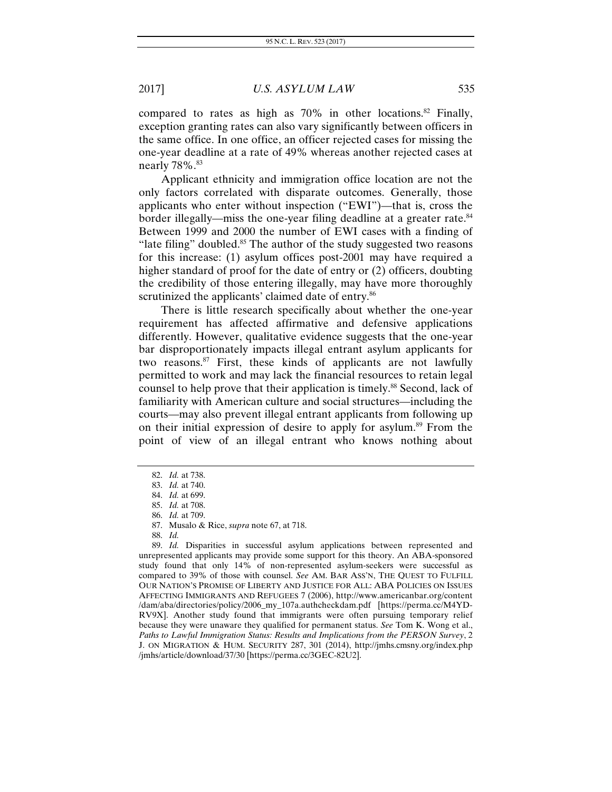compared to rates as high as  $70\%$  in other locations.<sup>82</sup> Finally, exception granting rates can also vary significantly between officers in the same office. In one office, an officer rejected cases for missing the one-year deadline at a rate of 49% whereas another rejected cases at nearly 78%.<sup>83</sup>

Applicant ethnicity and immigration office location are not the only factors correlated with disparate outcomes. Generally, those applicants who enter without inspection ("EWI")—that is, cross the border illegally—miss the one-year filing deadline at a greater rate.<sup>84</sup> Between 1999 and 2000 the number of EWI cases with a finding of "late filing" doubled. $85$  The author of the study suggested two reasons for this increase: (1) asylum offices post-2001 may have required a higher standard of proof for the date of entry or (2) officers, doubting the credibility of those entering illegally, may have more thoroughly scrutinized the applicants' claimed date of entry.<sup>86</sup>

There is little research specifically about whether the one-year requirement has affected affirmative and defensive applications differently. However, qualitative evidence suggests that the one-year bar disproportionately impacts illegal entrant asylum applicants for two reasons.87 First, these kinds of applicants are not lawfully permitted to work and may lack the financial resources to retain legal counsel to help prove that their application is timely.<sup>88</sup> Second, lack of familiarity with American culture and social structures—including the courts—may also prevent illegal entrant applicants from following up on their initial expression of desire to apply for asylum.89 From the point of view of an illegal entrant who knows nothing about

<sup>82.</sup> *Id.* at 738.

<sup>83.</sup> *Id.* at 740.

<sup>84.</sup> *Id.* at 699.

<sup>85.</sup> *Id.* at 708.

<sup>86.</sup> *Id.* at 709.

 <sup>87.</sup> Musalo & Rice, *supra* note 67, at 718.

<sup>88.</sup> *Id.* 

 <sup>89.</sup> *Id.* Disparities in successful asylum applications between represented and unrepresented applicants may provide some support for this theory. An ABA-sponsored study found that only 14% of non-represented asylum-seekers were successful as compared to 39% of those with counsel. *See* AM. BAR ASS'N, THE QUEST TO FULFILL OUR NATION'S PROMISE OF LIBERTY AND JUSTICE FOR ALL: ABA POLICIES ON ISSUES AFFECTING IMMIGRANTS AND REFUGEES 7 (2006), http://www.americanbar.org/content /dam/aba/directories/policy/2006\_my\_107a.authcheckdam.pdf [https://perma.cc/M4YD-RV9X]. Another study found that immigrants were often pursuing temporary relief because they were unaware they qualified for permanent status. *See* Tom K. Wong et al., *Paths to Lawful Immigration Status: Results and Implications from the PERSON Survey*, 2 J. ON MIGRATION & HUM. SECURITY 287, 301 (2014), http://jmhs.cmsny.org/index.php /jmhs/article/download/37/30 [https://perma.cc/3GEC-82U2].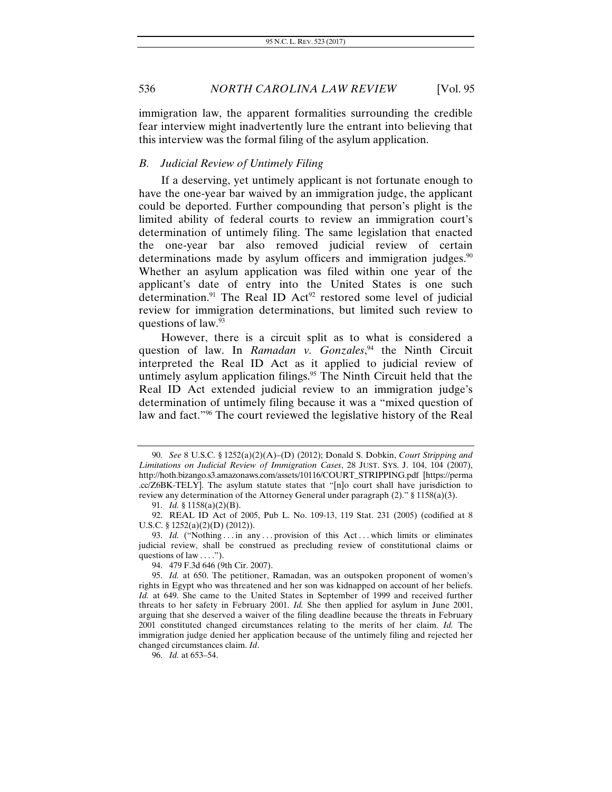immigration law, the apparent formalities surrounding the credible fear interview might inadvertently lure the entrant into believing that this interview was the formal filing of the asylum application.

#### *B. Judicial Review of Untimely Filing*

If a deserving, yet untimely applicant is not fortunate enough to have the one-year bar waived by an immigration judge, the applicant could be deported. Further compounding that person's plight is the limited ability of federal courts to review an immigration court's determination of untimely filing. The same legislation that enacted the one-year bar also removed judicial review of certain determinations made by asylum officers and immigration judges.<sup>90</sup> Whether an asylum application was filed within one year of the applicant's date of entry into the United States is one such determination.<sup>91</sup> The Real ID Act<sup>92</sup> restored some level of judicial review for immigration determinations, but limited such review to questions of law.93

However, there is a circuit split as to what is considered a question of law. In *Ramadan v. Gonzales*, 94 the Ninth Circuit interpreted the Real ID Act as it applied to judicial review of untimely asylum application filings. $95$  The Ninth Circuit held that the Real ID Act extended judicial review to an immigration judge's determination of untimely filing because it was a "mixed question of law and fact."96 The court reviewed the legislative history of the Real

<sup>90.</sup> *See* 8 U.S.C. § 1252(a)(2)(A)–(D) (2012); Donald S. Dobkin, *Court Stripping and Limitations on Judicial Review of Immigration Cases*, 28 JUST. SYS. J. 104, 104 (2007), http://hoth.bizango.s3.amazonaws.com/assets/10116/COURT\_STRIPPING.pdf [https://perma .cc/Z6BK-TELY]. The asylum statute states that "[n]o court shall have jurisdiction to review any determination of the Attorney General under paragraph (2)." § 1158(a)(3).

<sup>91.</sup> *Id.* § 1158(a)(2)(B).

 <sup>92.</sup> REAL ID Act of 2005, Pub L. No. 109-13, 119 Stat. 231 (2005) (codified at 8 U.S.C. § 1252(a)(2)(D) (2012)).

<sup>93.</sup> *Id.* ("Nothing ... in any ... provision of this Act ... which limits or eliminates judicial review, shall be construed as precluding review of constitutional claims or questions of law . . . .").

 <sup>94. 479</sup> F.3d 646 (9th Cir. 2007).

<sup>95.</sup> *Id.* at 650. The petitioner, Ramadan, was an outspoken proponent of women's rights in Egypt who was threatened and her son was kidnapped on account of her beliefs. *Id.* at 649. She came to the United States in September of 1999 and received further threats to her safety in February 2001. *Id.* She then applied for asylum in June 2001, arguing that she deserved a waiver of the filing deadline because the threats in February 2001 constituted changed circumstances relating to the merits of her claim. *Id.* The immigration judge denied her application because of the untimely filing and rejected her changed circumstances claim. *Id*.

<sup>96.</sup> *Id.* at 653–54.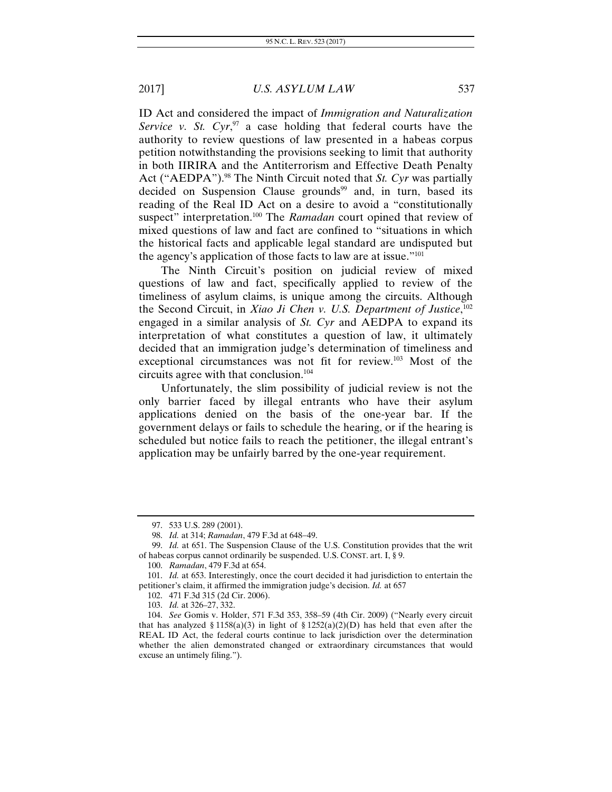ID Act and considered the impact of *Immigration and Naturalization*  Service v. St. Cyr,<sup>97</sup> a case holding that federal courts have the authority to review questions of law presented in a habeas corpus petition notwithstanding the provisions seeking to limit that authority in both IIRIRA and the Antiterrorism and Effective Death Penalty Act ("AEDPA").<sup>98</sup> The Ninth Circuit noted that *St. Cyr* was partially decided on Suspension Clause grounds<sup>99</sup> and, in turn, based its reading of the Real ID Act on a desire to avoid a "constitutionally suspect" interpretation.<sup>100</sup> The *Ramadan* court opined that review of mixed questions of law and fact are confined to "situations in which the historical facts and applicable legal standard are undisputed but the agency's application of those facts to law are at issue."101

The Ninth Circuit's position on judicial review of mixed questions of law and fact, specifically applied to review of the timeliness of asylum claims, is unique among the circuits. Although the Second Circuit, in *Xiao Ji Chen v. U.S. Department of Justice*, 102 engaged in a similar analysis of *St. Cyr* and AEDPA to expand its interpretation of what constitutes a question of law, it ultimately decided that an immigration judge's determination of timeliness and exceptional circumstances was not fit for review.103 Most of the circuits agree with that conclusion.104

Unfortunately, the slim possibility of judicial review is not the only barrier faced by illegal entrants who have their asylum applications denied on the basis of the one-year bar. If the government delays or fails to schedule the hearing, or if the hearing is scheduled but notice fails to reach the petitioner, the illegal entrant's application may be unfairly barred by the one-year requirement.

<sup>97. 533</sup> U.S. 289 (2001).

<sup>98.</sup> *Id.* at 314; *Ramadan*, 479 F.3d at 648-49.

 <sup>99.</sup> *Id.* at 651. The Suspension Clause of the U.S. Constitution provides that the writ of habeas corpus cannot ordinarily be suspended. U.S. CONST. art. I, § 9.

<sup>100.</sup> *Ramadan*, 479 F.3d at 654.

<sup>101.</sup> *Id.* at 653. Interestingly, once the court decided it had jurisdiction to entertain the petitioner's claim, it affirmed the immigration judge's decision. *Id.* at 657

 <sup>102. 471</sup> F.3d 315 (2d Cir. 2006).

<sup>103.</sup> *Id.* at 326–27, 332.

<sup>104.</sup> *See* Gomis v. Holder, 571 F.3d 353, 358–59 (4th Cir. 2009) ("Nearly every circuit that has analyzed § 1158(a)(3) in light of § 1252(a)(2)(D) has held that even after the REAL ID Act, the federal courts continue to lack jurisdiction over the determination whether the alien demonstrated changed or extraordinary circumstances that would excuse an untimely filing.").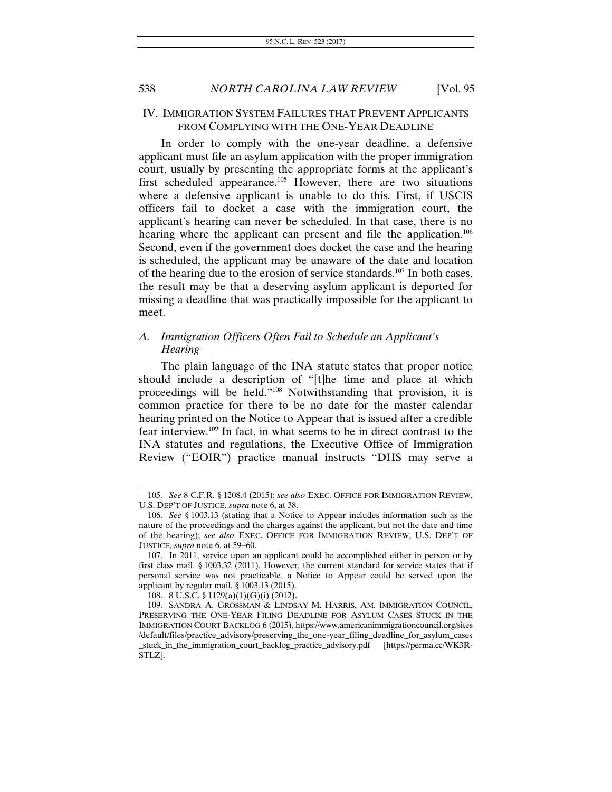#### IV. IMMIGRATION SYSTEM FAILURES THAT PREVENT APPLICANTS FROM COMPLYING WITH THE ONE-YEAR DEADLINE

In order to comply with the one-year deadline, a defensive applicant must file an asylum application with the proper immigration court, usually by presenting the appropriate forms at the applicant's first scheduled appearance.<sup>105</sup> However, there are two situations where a defensive applicant is unable to do this. First, if USCIS officers fail to docket a case with the immigration court, the applicant's hearing can never be scheduled. In that case, there is no hearing where the applicant can present and file the application.<sup>106</sup> Second, even if the government does docket the case and the hearing is scheduled, the applicant may be unaware of the date and location of the hearing due to the erosion of service standards.<sup>107</sup> In both cases, the result may be that a deserving asylum applicant is deported for missing a deadline that was practically impossible for the applicant to meet.

# *A. Immigration Officers Often Fail to Schedule an Applicant's Hearing*

The plain language of the INA statute states that proper notice should include a description of "[t]he time and place at which proceedings will be held."108 Notwithstanding that provision, it is common practice for there to be no date for the master calendar hearing printed on the Notice to Appear that is issued after a credible fear interview.109 In fact, in what seems to be in direct contrast to the INA statutes and regulations, the Executive Office of Immigration Review ("EOIR") practice manual instructs "DHS may serve a

<sup>105.</sup> *See* 8 C.F.R. § 1208.4 (2015); *see also* EXEC. OFFICE FOR IMMIGRATION REVIEW, U.S. DEP'T OF JUSTICE, *supra* note 6, at 38.

<sup>106.</sup> *See* § 1003.13 (stating that a Notice to Appear includes information such as the nature of the proceedings and the charges against the applicant, but not the date and time of the hearing); *see also* EXEC. OFFICE FOR IMMIGRATION REVIEW, U.S. DEP'T OF JUSTICE, *supra* note 6, at 59-60.

 <sup>107.</sup> In 2011, service upon an applicant could be accomplished either in person or by first class mail. § 1003.32 (2011). However, the current standard for service states that if personal service was not practicable, a Notice to Appear could be served upon the applicant by regular mail. § 1003.13 (2015).

 <sup>108. 8</sup> U.S.C. § 1129(a)(1)(G)(i) (2012).

 <sup>109.</sup> SANDRA A. GROSSMAN & LINDSAY M. HARRIS, AM. IMMIGRATION COUNCIL, PRESERVING THE ONE-YEAR FILING DEADLINE FOR ASYLUM CASES STUCK IN THE IMMIGRATION COURT BACKLOG 6 (2015), https://www.americanimmigrationcouncil.org/sites /default/files/practice\_advisory/preserving\_the\_one-year\_filing\_deadline\_for\_asylum\_cases \_stuck\_in\_the\_immigration\_court\_backlog\_practice\_advisory.pdf [https://perma.cc/WK3R-STLZ].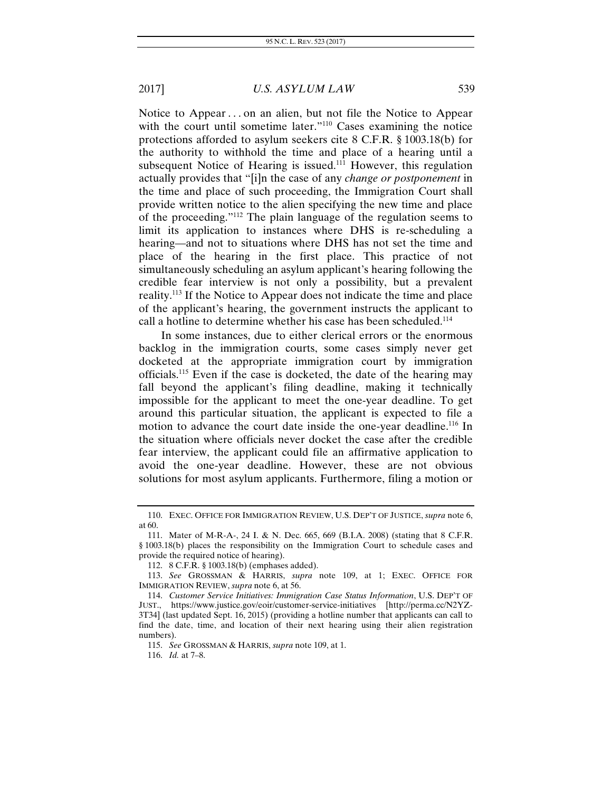Notice to Appear . . . on an alien, but not file the Notice to Appear with the court until sometime later."<sup>110</sup> Cases examining the notice protections afforded to asylum seekers cite 8 C.F.R. § 1003.18(b) for the authority to withhold the time and place of a hearing until a subsequent Notice of Hearing is issued.<sup>111</sup> However, this regulation actually provides that "[i]n the case of any *change or postponement* in the time and place of such proceeding, the Immigration Court shall provide written notice to the alien specifying the new time and place of the proceeding."112 The plain language of the regulation seems to limit its application to instances where DHS is re-scheduling a hearing—and not to situations where DHS has not set the time and place of the hearing in the first place. This practice of not simultaneously scheduling an asylum applicant's hearing following the credible fear interview is not only a possibility, but a prevalent reality.113 If the Notice to Appear does not indicate the time and place of the applicant's hearing, the government instructs the applicant to call a hotline to determine whether his case has been scheduled.<sup>114</sup>

In some instances, due to either clerical errors or the enormous backlog in the immigration courts, some cases simply never get docketed at the appropriate immigration court by immigration officials.115 Even if the case is docketed, the date of the hearing may fall beyond the applicant's filing deadline, making it technically impossible for the applicant to meet the one-year deadline. To get around this particular situation, the applicant is expected to file a motion to advance the court date inside the one-year deadline.<sup>116</sup> In the situation where officials never docket the case after the credible fear interview, the applicant could file an affirmative application to avoid the one-year deadline. However, these are not obvious solutions for most asylum applicants. Furthermore, filing a motion or

<sup>110.</sup> EXEC. OFFICE FOR IMMIGRATION REVIEW, U.S. DEP'T OF JUSTICE, *supra* note 6, at 60.

 <sup>111.</sup> Mater of M-R-A-, 24 I. & N. Dec. 665, 669 (B.I.A. 2008) (stating that 8 C.F.R. § 1003.18(b) places the responsibility on the Immigration Court to schedule cases and provide the required notice of hearing).

 <sup>112. 8</sup> C.F.R. § 1003.18(b) (emphases added).

<sup>113.</sup> *See* GROSSMAN & HARRIS, *supra* note 109, at 1; EXEC. OFFICE FOR IMMIGRATION REVIEW, *supra* note 6, at 56.

<sup>114.</sup> *Customer Service Initiatives: Immigration Case Status Information*, U.S. DEP'T OF JUST., https://www.justice.gov/eoir/customer-service-initiatives [http://perma.cc/N2YZ-3T34] (last updated Sept. 16, 2015) (providing a hotline number that applicants can call to find the date, time, and location of their next hearing using their alien registration numbers).

<sup>115.</sup> *See* GROSSMAN & HARRIS, *supra* note 109, at 1.

 <sup>116.</sup> *Id.* at 7–8.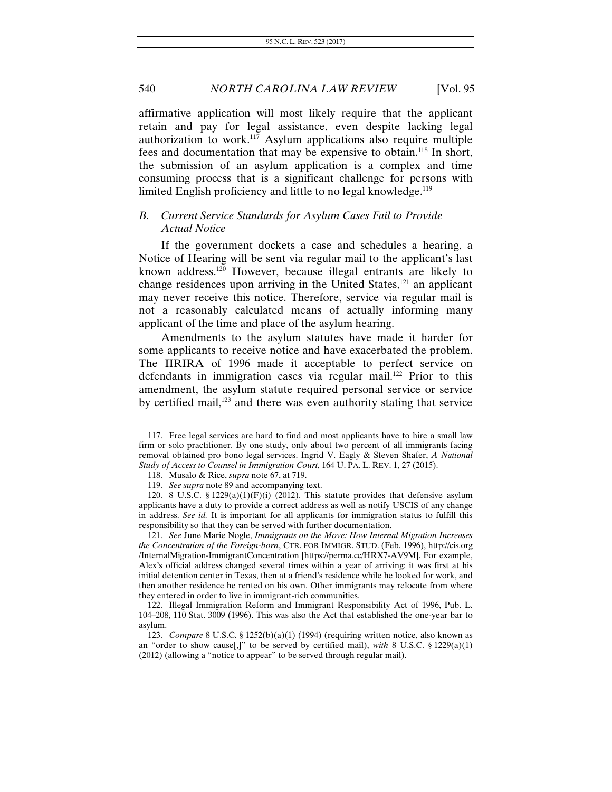affirmative application will most likely require that the applicant retain and pay for legal assistance, even despite lacking legal authorization to work.<sup>117</sup> Asylum applications also require multiple fees and documentation that may be expensive to obtain.118 In short, the submission of an asylum application is a complex and time consuming process that is a significant challenge for persons with limited English proficiency and little to no legal knowledge.<sup>119</sup>

# *B. Current Service Standards for Asylum Cases Fail to Provide Actual Notice*

If the government dockets a case and schedules a hearing, a Notice of Hearing will be sent via regular mail to the applicant's last known address.<sup>120</sup> However, because illegal entrants are likely to change residences upon arriving in the United States,<sup>121</sup> an applicant may never receive this notice. Therefore, service via regular mail is not a reasonably calculated means of actually informing many applicant of the time and place of the asylum hearing.

Amendments to the asylum statutes have made it harder for some applicants to receive notice and have exacerbated the problem. The IIRIRA of 1996 made it acceptable to perfect service on defendants in immigration cases via regular mail.<sup>122</sup> Prior to this amendment, the asylum statute required personal service or service by certified mail, $123$  and there was even authority stating that service

 121. *See* June Marie Nogle, *Immigrants on the Move: How Internal Migration Increases the Concentration of the Foreign-born*, CTR. FOR IMMIGR. STUD. (Feb. 1996), http://cis.org /InternalMigration-ImmigrantConcentration [https://perma.cc/HRX7-AV9M]. For example, Alex's official address changed several times within a year of arriving: it was first at his initial detention center in Texas, then at a friend's residence while he looked for work, and then another residence he rented on his own. Other immigrants may relocate from where they entered in order to live in immigrant-rich communities.

 <sup>117.</sup> Free legal services are hard to find and most applicants have to hire a small law firm or solo practitioner. By one study, only about two percent of all immigrants facing removal obtained pro bono legal services. Ingrid V. Eagly & Steven Shafer, *A National Study of Access to Counsel in Immigration Court*, 164 U. PA. L. REV. 1, 27 (2015).

 <sup>118.</sup> Musalo & Rice, *supra* note 67, at 719.

<sup>119.</sup> *See supra* note 89 and accompanying text.

<sup>120. 8</sup> U.S.C. §  $1229(a)(1)(F)(i)$  (2012). This statute provides that defensive asylum applicants have a duty to provide a correct address as well as notify USCIS of any change in address. *See id.* It is important for all applicants for immigration status to fulfill this responsibility so that they can be served with further documentation.

 <sup>122.</sup> Illegal Immigration Reform and Immigrant Responsibility Act of 1996, Pub. L. 104–208, 110 Stat. 3009 (1996). This was also the Act that established the one-year bar to asylum.

<sup>123.</sup> *Compare* 8 U.S.C. § 1252(b)(a)(1) (1994) (requiring written notice, also known as an "order to show cause[,]" to be served by certified mail), *with* 8 U.S.C. § 1229(a)(1) (2012) (allowing a "notice to appear" to be served through regular mail).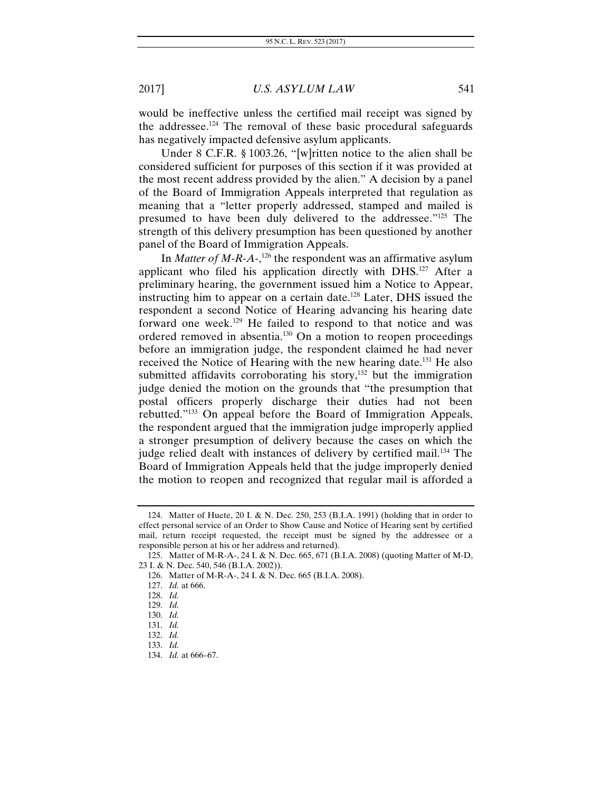would be ineffective unless the certified mail receipt was signed by the addressee.124 The removal of these basic procedural safeguards has negatively impacted defensive asylum applicants.

Under 8 C.F.R. § 1003.26, "[w]ritten notice to the alien shall be considered sufficient for purposes of this section if it was provided at the most recent address provided by the alien." A decision by a panel of the Board of Immigration Appeals interpreted that regulation as meaning that a "letter properly addressed, stamped and mailed is presumed to have been duly delivered to the addressee."125 The strength of this delivery presumption has been questioned by another panel of the Board of Immigration Appeals.

In *Matter of M-R-A-*, 126 the respondent was an affirmative asylum applicant who filed his application directly with DHS.127 After a preliminary hearing, the government issued him a Notice to Appear, instructing him to appear on a certain date.128 Later, DHS issued the respondent a second Notice of Hearing advancing his hearing date forward one week.129 He failed to respond to that notice and was ordered removed in absentia.130 On a motion to reopen proceedings before an immigration judge, the respondent claimed he had never received the Notice of Hearing with the new hearing date.<sup>131</sup> He also submitted affidavits corroborating his story, $132$  but the immigration judge denied the motion on the grounds that "the presumption that postal officers properly discharge their duties had not been rebutted."133 On appeal before the Board of Immigration Appeals, the respondent argued that the immigration judge improperly applied a stronger presumption of delivery because the cases on which the judge relied dealt with instances of delivery by certified mail.<sup>134</sup> The Board of Immigration Appeals held that the judge improperly denied the motion to reopen and recognized that regular mail is afforded a

<sup>124.</sup> Matter of Huete, 20 I. & N. Dec. 250, 253 (B.I.A. 1991) (holding that in order to effect personal service of an Order to Show Cause and Notice of Hearing sent by certified mail, return receipt requested, the receipt must be signed by the addressee or a responsible person at his or her address and returned).

<sup>125.</sup> Matter of M-R-A-, 24 I. & N. Dec. 665, 671 (B.I.A. 2008) (quoting Matter of M-D, 23 I. & N. Dec. 540, 546 (B.I.A. 2002)).

<sup>126.</sup> Matter of M-R-A-, 24 I. & N. Dec. 665 (B.I.A. 2008).

<sup>127.</sup> *Id.* at 666.

<sup>128.</sup> *Id.* 

<sup>129.</sup> *Id.* 

<sup>130.</sup> *Id.* 

<sup>131.</sup> *Id.* 

<sup>132.</sup> *Id.* 

<sup>133.</sup> *Id.*

<sup>134.</sup> *Id.* at 666–67.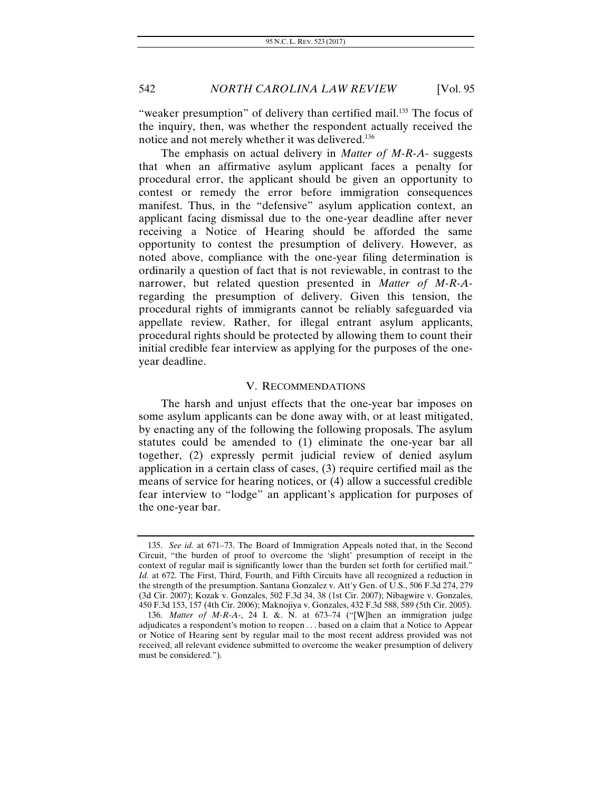"weaker presumption" of delivery than certified mail.<sup>135</sup> The focus of the inquiry, then, was whether the respondent actually received the notice and not merely whether it was delivered.136

The emphasis on actual delivery in *Matter of M-R-A-* suggests that when an affirmative asylum applicant faces a penalty for procedural error, the applicant should be given an opportunity to contest or remedy the error before immigration consequences manifest. Thus, in the "defensive" asylum application context, an applicant facing dismissal due to the one-year deadline after never receiving a Notice of Hearing should be afforded the same opportunity to contest the presumption of delivery. However, as noted above, compliance with the one-year filing determination is ordinarily a question of fact that is not reviewable, in contrast to the narrower, but related question presented in *Matter of M-R-A*regarding the presumption of delivery. Given this tension, the procedural rights of immigrants cannot be reliably safeguarded via appellate review. Rather, for illegal entrant asylum applicants, procedural rights should be protected by allowing them to count their initial credible fear interview as applying for the purposes of the oneyear deadline.

#### V. RECOMMENDATIONS

The harsh and unjust effects that the one-year bar imposes on some asylum applicants can be done away with, or at least mitigated, by enacting any of the following the following proposals. The asylum statutes could be amended to (1) eliminate the one-year bar all together, (2) expressly permit judicial review of denied asylum application in a certain class of cases, (3) require certified mail as the means of service for hearing notices, or (4) allow a successful credible fear interview to "lodge" an applicant's application for purposes of the one-year bar.

<sup>135.</sup> *See id.* at 671–73. The Board of Immigration Appeals noted that, in the Second Circuit, "the burden of proof to overcome the 'slight' presumption of receipt in the context of regular mail is significantly lower than the burden set forth for certified mail." *Id.* at 672. The First, Third, Fourth, and Fifth Circuits have all recognized a reduction in the strength of the presumption. Santana Gonzalez v. Att'y Gen. of U.S., 506 F.3d 274, 279 (3d Cir. 2007); Kozak v. Gonzales, 502 F.3d 34, 38 (1st Cir. 2007); Nibagwire v. Gonzales, 450 F.3d 153, 157 (4th Cir. 2006); Maknojiya v. Gonzales, 432 F.3d 588, 589 (5th Cir. 2005).

 <sup>136.</sup> *Matter of M-R-A-*, 24 I. &. N. at 673–74 ("[W]hen an immigration judge adjudicates a respondent's motion to reopen . . . based on a claim that a Notice to Appear or Notice of Hearing sent by regular mail to the most recent address provided was not received, all relevant evidence submitted to overcome the weaker presumption of delivery must be considered.").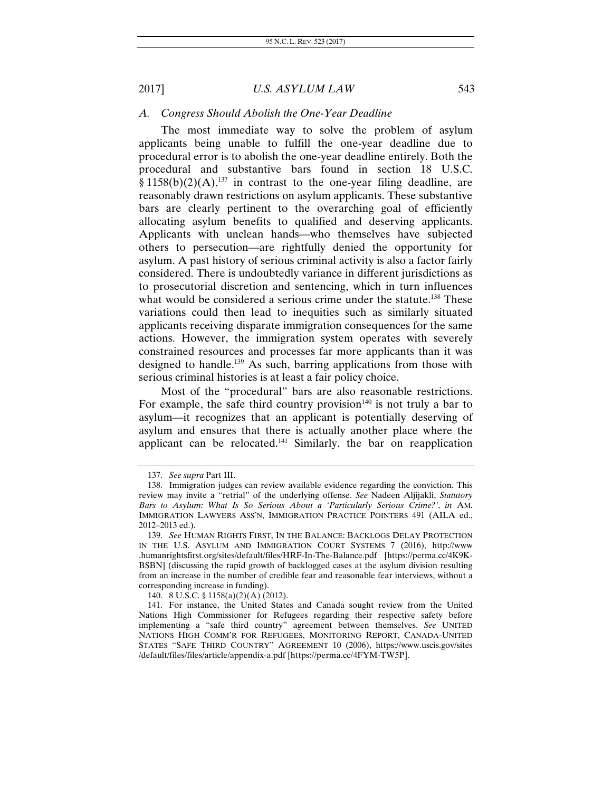#### *A. Congress Should Abolish the One-Year Deadline*

The most immediate way to solve the problem of asylum applicants being unable to fulfill the one-year deadline due to procedural error is to abolish the one-year deadline entirely. Both the procedural and substantive bars found in section 18 U.S.C.  $§ 1158(b)(2)(A),<sup>137</sup>$  in contrast to the one-year filing deadline, are reasonably drawn restrictions on asylum applicants. These substantive bars are clearly pertinent to the overarching goal of efficiently allocating asylum benefits to qualified and deserving applicants. Applicants with unclean hands—who themselves have subjected others to persecution—are rightfully denied the opportunity for asylum. A past history of serious criminal activity is also a factor fairly considered. There is undoubtedly variance in different jurisdictions as to prosecutorial discretion and sentencing, which in turn influences what would be considered a serious crime under the statute.<sup>138</sup> These variations could then lead to inequities such as similarly situated applicants receiving disparate immigration consequences for the same actions. However, the immigration system operates with severely constrained resources and processes far more applicants than it was designed to handle.139 As such, barring applications from those with serious criminal histories is at least a fair policy choice.

Most of the "procedural" bars are also reasonable restrictions. For example, the safe third country provision<sup>140</sup> is not truly a bar to asylum—it recognizes that an applicant is potentially deserving of asylum and ensures that there is actually another place where the applicant can be relocated.<sup>141</sup> Similarly, the bar on reapplication

140. 8 U.S.C. § 1158(a)(2)(A) (2012).

<sup>137.</sup> *See supra* Part III.

 <sup>138.</sup> Immigration judges can review available evidence regarding the conviction. This review may invite a "retrial" of the underlying offense. *See* Nadeen Aljijakli, *Statutory Bars to Asylum: What Is So Serious About a 'Particularly Serious Crime?'*, *in* AM. IMMIGRATION LAWYERS ASS'N, IMMIGRATION PRACTICE POINTERS 491 (AILA ed., 2012–2013 ed.).

<sup>139.</sup> *See* HUMAN RIGHTS FIRST, IN THE BALANCE: BACKLOGS DELAY PROTECTION IN THE U.S. ASYLUM AND IMMIGRATION COURT SYSTEMS 7 (2016), http://www .humanrightsfirst.org/sites/default/files/HRF-In-The-Balance.pdf [https://perma.cc/4K9K-BSBN] (discussing the rapid growth of backlogged cases at the asylum division resulting from an increase in the number of credible fear and reasonable fear interviews, without a corresponding increase in funding).

 <sup>141.</sup> For instance, the United States and Canada sought review from the United Nations High Commissioner for Refugees regarding their respective safety before implementing a "safe third country" agreement between themselves. *See* UNITED NATIONS HIGH COMM'R FOR REFUGEES, MONITORING REPORT, CANADA-UNITED STATES "SAFE THIRD COUNTRY" AGREEMENT 10 (2006), https://www.uscis.gov/sites /default/files/files/article/appendix-a.pdf [https://perma.cc/4FYM-TW5P].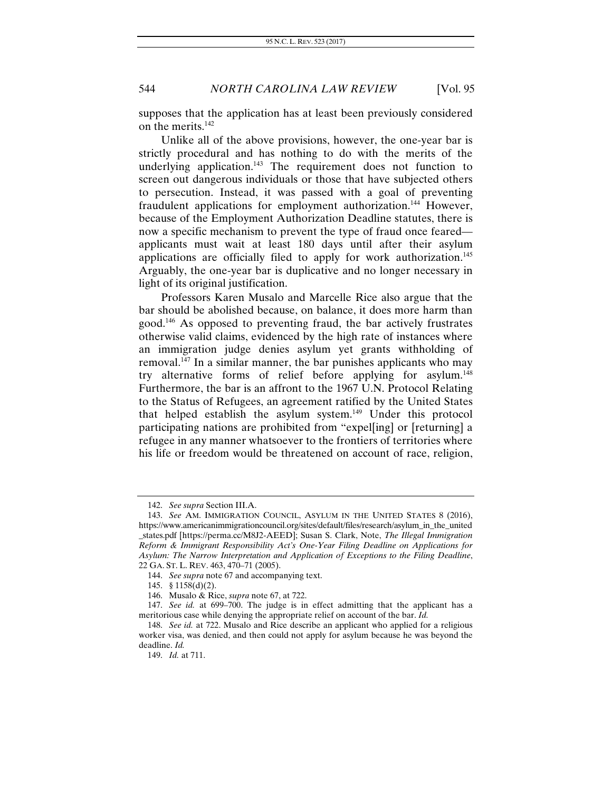supposes that the application has at least been previously considered on the merits.<sup>142</sup>

Unlike all of the above provisions, however, the one-year bar is strictly procedural and has nothing to do with the merits of the underlying application.<sup>143</sup> The requirement does not function to screen out dangerous individuals or those that have subjected others to persecution. Instead, it was passed with a goal of preventing fraudulent applications for employment authorization.<sup>144</sup> However, because of the Employment Authorization Deadline statutes, there is now a specific mechanism to prevent the type of fraud once feared applicants must wait at least 180 days until after their asylum applications are officially filed to apply for work authorization.<sup>145</sup> Arguably, the one-year bar is duplicative and no longer necessary in light of its original justification.

Professors Karen Musalo and Marcelle Rice also argue that the bar should be abolished because, on balance, it does more harm than good.146 As opposed to preventing fraud, the bar actively frustrates otherwise valid claims, evidenced by the high rate of instances where an immigration judge denies asylum yet grants withholding of removal.147 In a similar manner, the bar punishes applicants who may try alternative forms of relief before applying for asylum.<sup>148</sup> Furthermore, the bar is an affront to the 1967 U.N. Protocol Relating to the Status of Refugees, an agreement ratified by the United States that helped establish the asylum system.<sup>149</sup> Under this protocol participating nations are prohibited from "expel[ing] or [returning] a refugee in any manner whatsoever to the frontiers of territories where his life or freedom would be threatened on account of race, religion,

 <sup>142.</sup> *See supra* Section III.A.

 <sup>143.</sup> *See* AM. IMMIGRATION COUNCIL, ASYLUM IN THE UNITED STATES 8 (2016), https://www.americanimmigrationcouncil.org/sites/default/files/research/asylum\_in\_the\_united \_states.pdf [https://perma.cc/M8J2-AEED]; Susan S. Clark, Note, *The Illegal Immigration Reform & Immigrant Responsibility Act's One-Year Filing Deadline on Applications for Asylum: The Narrow Interpretation and Application of Exceptions to the Filing Deadline*, 22 GA. ST. L. REV. 463, 470–71 (2005).

<sup>144.</sup> *See supra* note 67 and accompanying text.

 <sup>145. §</sup> 1158(d)(2).

 <sup>146.</sup> Musalo & Rice, *supra* note 67, at 722.

 <sup>147.</sup> *See id.* at 699–700. The judge is in effect admitting that the applicant has a meritorious case while denying the appropriate relief on account of the bar. *Id.*

 <sup>148.</sup> *See id.* at 722. Musalo and Rice describe an applicant who applied for a religious worker visa, was denied, and then could not apply for asylum because he was beyond the deadline. *Id.*

<sup>149.</sup> *Id.* at 711.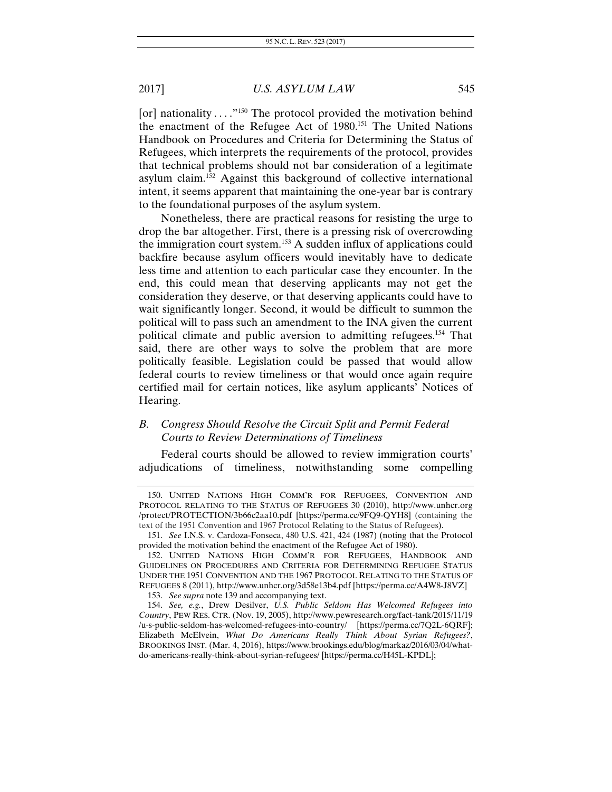[or] nationality  $\dots$ <sup>"150</sup> The protocol provided the motivation behind the enactment of the Refugee Act of 1980.<sup>151</sup> The United Nations Handbook on Procedures and Criteria for Determining the Status of Refugees, which interprets the requirements of the protocol, provides that technical problems should not bar consideration of a legitimate asylum claim.152 Against this background of collective international intent, it seems apparent that maintaining the one-year bar is contrary to the foundational purposes of the asylum system.

Nonetheless, there are practical reasons for resisting the urge to drop the bar altogether. First, there is a pressing risk of overcrowding the immigration court system.153 A sudden influx of applications could backfire because asylum officers would inevitably have to dedicate less time and attention to each particular case they encounter. In the end, this could mean that deserving applicants may not get the consideration they deserve, or that deserving applicants could have to wait significantly longer. Second, it would be difficult to summon the political will to pass such an amendment to the INA given the current political climate and public aversion to admitting refugees.154 That said, there are other ways to solve the problem that are more politically feasible. Legislation could be passed that would allow federal courts to review timeliness or that would once again require certified mail for certain notices, like asylum applicants' Notices of Hearing.

# *B. Congress Should Resolve the Circuit Split and Permit Federal Courts to Review Determinations of Timeliness*

Federal courts should be allowed to review immigration courts' adjudications of timeliness, notwithstanding some compelling

 <sup>150.</sup> UNITED NATIONS HIGH COMM'R FOR REFUGEES, CONVENTION AND PROTOCOL RELATING TO THE STATUS OF REFUGEES 30 (2010), http://www.unhcr.org /protect/PROTECTION/3b66c2aa10.pdf [https://perma.cc/9FQ9-QYH8] (containing the text of the 1951 Convention and 1967 Protocol Relating to the Status of Refugees).

 <sup>151.</sup> *See* I.N.S. v. Cardoza-Fonseca, 480 U.S. 421, 424 (1987) (noting that the Protocol provided the motivation behind the enactment of the Refugee Act of 1980).

 <sup>152.</sup> UNITED NATIONS HIGH COMM'R FOR REFUGEES, HANDBOOK AND GUIDELINES ON PROCEDURES AND CRITERIA FOR DETERMINING REFUGEE STATUS UNDER THE 1951 CONVENTION AND THE 1967 PROTOCOL RELATING TO THE STATUS OF REFUGEES 8 (2011), http://www.unhcr.org/3d58e13b4.pdf [https://perma.cc/A4W8-J8VZ]

<sup>153.</sup> *See supra* note 139 and accompanying text.

 <sup>154.</sup> *See, e.g.*, Drew Desilver, *U.S. Public Seldom Has Welcomed Refugees into Country*, PEW RES. CTR. (Nov. 19, 2005), http://www.pewresearch.org/fact-tank/2015/11/19 /u-s-public-seldom-has-welcomed-refugees-into-country/ [https://perma.cc/7Q2L-6QRF]; Elizabeth McElvein, *What Do Americans Really Think About Syrian Refugees?*, BROOKINGS INST. (Mar. 4, 2016), https://www.brookings.edu/blog/markaz/2016/03/04/whatdo-americans-really-think-about-syrian-refugees/ [https://perma.cc/H45L-KPDL];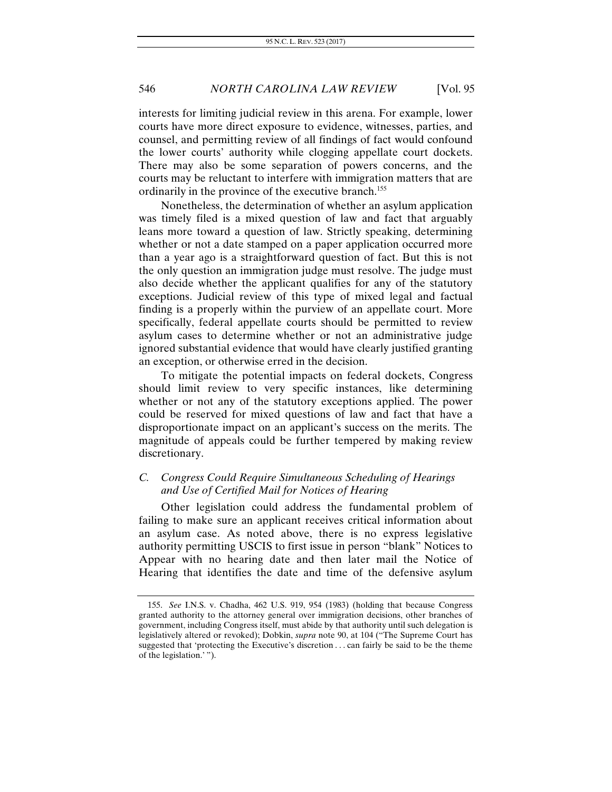interests for limiting judicial review in this arena. For example, lower courts have more direct exposure to evidence, witnesses, parties, and counsel, and permitting review of all findings of fact would confound the lower courts' authority while clogging appellate court dockets. There may also be some separation of powers concerns, and the courts may be reluctant to interfere with immigration matters that are ordinarily in the province of the executive branch.<sup>155</sup>

Nonetheless, the determination of whether an asylum application was timely filed is a mixed question of law and fact that arguably leans more toward a question of law. Strictly speaking, determining whether or not a date stamped on a paper application occurred more than a year ago is a straightforward question of fact. But this is not the only question an immigration judge must resolve. The judge must also decide whether the applicant qualifies for any of the statutory exceptions. Judicial review of this type of mixed legal and factual finding is a properly within the purview of an appellate court. More specifically, federal appellate courts should be permitted to review asylum cases to determine whether or not an administrative judge ignored substantial evidence that would have clearly justified granting an exception, or otherwise erred in the decision.

To mitigate the potential impacts on federal dockets, Congress should limit review to very specific instances, like determining whether or not any of the statutory exceptions applied. The power could be reserved for mixed questions of law and fact that have a disproportionate impact on an applicant's success on the merits. The magnitude of appeals could be further tempered by making review discretionary.

## *C. Congress Could Require Simultaneous Scheduling of Hearings and Use of Certified Mail for Notices of Hearing*

Other legislation could address the fundamental problem of failing to make sure an applicant receives critical information about an asylum case. As noted above, there is no express legislative authority permitting USCIS to first issue in person "blank" Notices to Appear with no hearing date and then later mail the Notice of Hearing that identifies the date and time of the defensive asylum

<sup>155.</sup> *See* I.N.S. v. Chadha, 462 U.S. 919, 954 (1983) (holding that because Congress granted authority to the attorney general over immigration decisions, other branches of government, including Congress itself, must abide by that authority until such delegation is legislatively altered or revoked); Dobkin, *supra* note 90, at 104 ("The Supreme Court has suggested that 'protecting the Executive's discretion . . . can fairly be said to be the theme of the legislation.' ").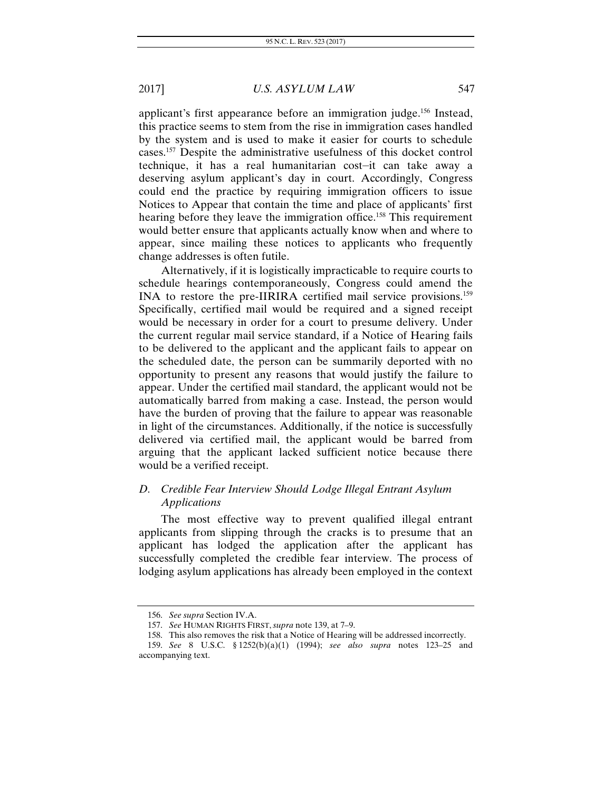applicant's first appearance before an immigration judge.<sup>156</sup> Instead, this practice seems to stem from the rise in immigration cases handled by the system and is used to make it easier for courts to schedule cases.157 Despite the administrative usefulness of this docket control technique, it has a real humanitarian cost—it can take away a deserving asylum applicant's day in court. Accordingly, Congress could end the practice by requiring immigration officers to issue Notices to Appear that contain the time and place of applicants' first hearing before they leave the immigration office.<sup>158</sup> This requirement would better ensure that applicants actually know when and where to appear, since mailing these notices to applicants who frequently change addresses is often futile.

Alternatively, if it is logistically impracticable to require courts to schedule hearings contemporaneously, Congress could amend the INA to restore the pre-IIRIRA certified mail service provisions.159 Specifically, certified mail would be required and a signed receipt would be necessary in order for a court to presume delivery. Under the current regular mail service standard, if a Notice of Hearing fails to be delivered to the applicant and the applicant fails to appear on the scheduled date, the person can be summarily deported with no opportunity to present any reasons that would justify the failure to appear. Under the certified mail standard, the applicant would not be automatically barred from making a case. Instead, the person would have the burden of proving that the failure to appear was reasonable in light of the circumstances. Additionally, if the notice is successfully delivered via certified mail, the applicant would be barred from arguing that the applicant lacked sufficient notice because there would be a verified receipt.

# *D. Credible Fear Interview Should Lodge Illegal Entrant Asylum Applications*

The most effective way to prevent qualified illegal entrant applicants from slipping through the cracks is to presume that an applicant has lodged the application after the applicant has successfully completed the credible fear interview. The process of lodging asylum applications has already been employed in the context

 <sup>156.</sup> *See supra* Section IV.A.

<sup>157.</sup> *See* HUMAN RIGHTS FIRST, *supra* note 139, at 7–9.

<sup>158.</sup> This also removes the risk that a Notice of Hearing will be addressed incorrectly.

<sup>159.</sup> *See* 8 U.S.C. § 1252(b)(a)(1) (1994); *see also supra* notes 123–25 and accompanying text.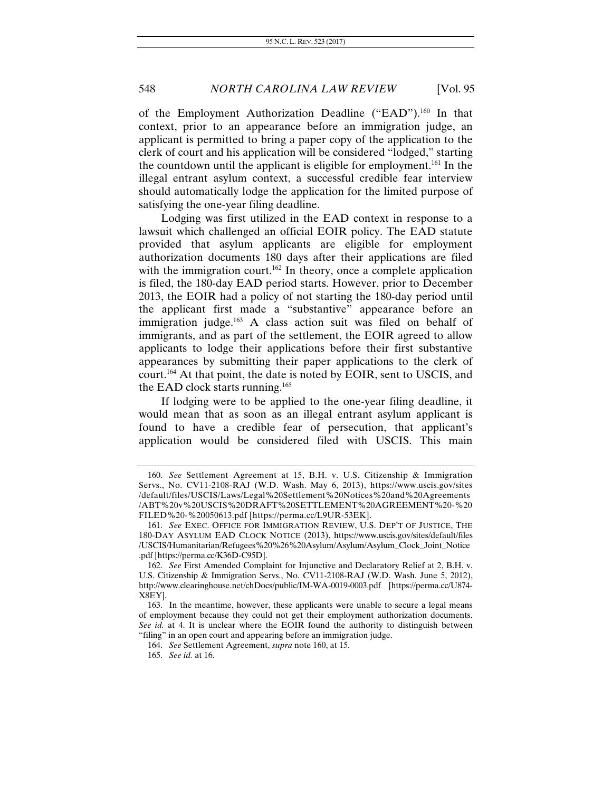of the Employment Authorization Deadline ("EAD").<sup>160</sup> In that context, prior to an appearance before an immigration judge, an applicant is permitted to bring a paper copy of the application to the clerk of court and his application will be considered "lodged," starting the countdown until the applicant is eligible for employment.161 In the illegal entrant asylum context, a successful credible fear interview should automatically lodge the application for the limited purpose of satisfying the one-year filing deadline.

Lodging was first utilized in the EAD context in response to a lawsuit which challenged an official EOIR policy. The EAD statute provided that asylum applicants are eligible for employment authorization documents 180 days after their applications are filed with the immigration court.<sup>162</sup> In theory, once a complete application is filed, the 180-day EAD period starts. However, prior to December 2013, the EOIR had a policy of not starting the 180-day period until the applicant first made a "substantive" appearance before an immigration judge.<sup>163</sup> A class action suit was filed on behalf of immigrants, and as part of the settlement, the EOIR agreed to allow applicants to lodge their applications before their first substantive appearances by submitting their paper applications to the clerk of court.164 At that point, the date is noted by EOIR, sent to USCIS, and the EAD clock starts running. $165$ 

If lodging were to be applied to the one-year filing deadline, it would mean that as soon as an illegal entrant asylum applicant is found to have a credible fear of persecution, that applicant's application would be considered filed with USCIS. This main

<sup>160.</sup> *See* Settlement Agreement at 15, B.H. v. U.S. Citizenship & Immigration Servs., No. CV11-2108-RAJ (W.D. Wash. May 6, 2013), https://www.uscis.gov/sites /default/files/USCIS/Laws/Legal%20Settlement%20Notices%20and%20Agreements /ABT%20v%20USCIS%20DRAFT%20SETTLEMENT%20AGREEMENT%20-%20 FILED%20-%20050613.pdf [https://perma.cc/L9UR-53EK].

<sup>161.</sup> *See* EXEC. OFFICE FOR IMMIGRATION REVIEW, U.S. DEP'T OF JUSTICE, THE 180-DAY ASYLUM EAD CLOCK NOTICE (2013), https://www.uscis.gov/sites/default/files /USCIS/Humanitarian/Refugees%20%26%20Asylum/Asylum/Asylum\_Clock\_Joint\_Notice .pdf [https://perma.cc/K36D-C95D].

<sup>162.</sup> *See* First Amended Complaint for Injunctive and Declaratory Relief at 2, B.H. v. U.S. Citizenship & Immigration Servs., No. CV11-2108-RAJ (W.D. Wash. June 5, 2012), http://www.clearinghouse.net/chDocs/public/IM-WA-0019-0003.pdf [https://perma.cc/U874- X8EY].

 <sup>163.</sup> In the meantime, however, these applicants were unable to secure a legal means of employment because they could not get their employment authorization documents. *See id.* at 4. It is unclear where the EOIR found the authority to distinguish between "filing" in an open court and appearing before an immigration judge.

<sup>164.</sup> *See* Settlement Agreement, *supra* note 160, at 15.

<sup>165.</sup> *See id.* at 16.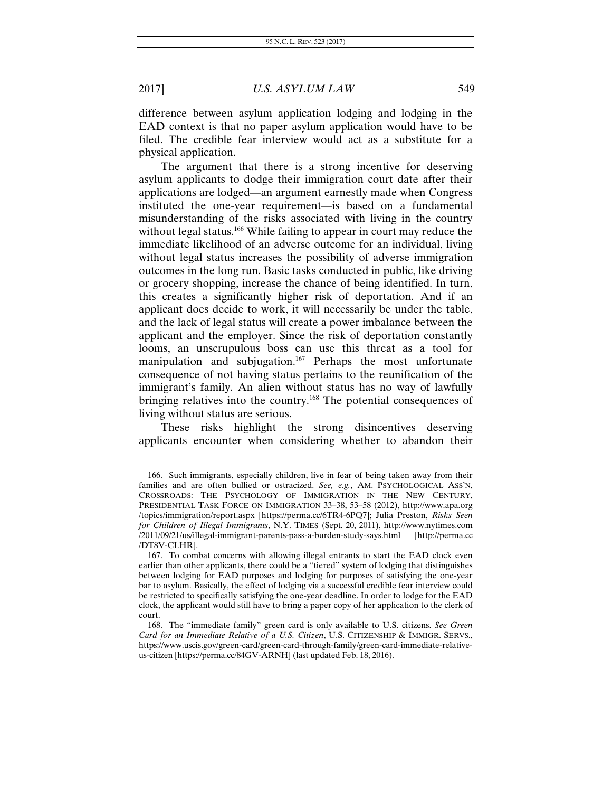difference between asylum application lodging and lodging in the EAD context is that no paper asylum application would have to be filed. The credible fear interview would act as a substitute for a physical application.

The argument that there is a strong incentive for deserving asylum applicants to dodge their immigration court date after their applications are lodged—an argument earnestly made when Congress instituted the one-year requirement—is based on a fundamental misunderstanding of the risks associated with living in the country without legal status.<sup>166</sup> While failing to appear in court may reduce the immediate likelihood of an adverse outcome for an individual, living without legal status increases the possibility of adverse immigration outcomes in the long run. Basic tasks conducted in public, like driving or grocery shopping, increase the chance of being identified. In turn, this creates a significantly higher risk of deportation. And if an applicant does decide to work, it will necessarily be under the table, and the lack of legal status will create a power imbalance between the applicant and the employer. Since the risk of deportation constantly looms, an unscrupulous boss can use this threat as a tool for manipulation and subjugation.<sup>167</sup> Perhaps the most unfortunate consequence of not having status pertains to the reunification of the immigrant's family. An alien without status has no way of lawfully bringing relatives into the country.<sup>168</sup> The potential consequences of living without status are serious.

These risks highlight the strong disincentives deserving applicants encounter when considering whether to abandon their

 <sup>166.</sup> Such immigrants, especially children, live in fear of being taken away from their families and are often bullied or ostracized. *See, e.g.*, AM. PSYCHOLOGICAL ASS'N, CROSSROADS: THE PSYCHOLOGY OF IMMIGRATION IN THE NEW CENTURY, PRESIDENTIAL TASK FORCE ON IMMIGRATION 33–38, 53–58 (2012), http://www.apa.org /topics/immigration/report.aspx [https://perma.cc/6TR4-6PQ7]; Julia Preston, *Risks Seen for Children of Illegal Immigrants*, N.Y. TIMES (Sept. 20, 2011), http://www.nytimes.com /2011/09/21/us/illegal-immigrant-parents-pass-a-burden-study-says.html [http://perma.cc /DT8V-CLHR].

 <sup>167.</sup> To combat concerns with allowing illegal entrants to start the EAD clock even earlier than other applicants, there could be a "tiered" system of lodging that distinguishes between lodging for EAD purposes and lodging for purposes of satisfying the one-year bar to asylum. Basically, the effect of lodging via a successful credible fear interview could be restricted to specifically satisfying the one-year deadline. In order to lodge for the EAD clock, the applicant would still have to bring a paper copy of her application to the clerk of court.

 <sup>168.</sup> The "immediate family" green card is only available to U.S. citizens. *See Green Card for an Immediate Relative of a U.S. Citizen*, U.S. CITIZENSHIP & IMMIGR. SERVS., https://www.uscis.gov/green-card/green-card-through-family/green-card-immediate-relativeus-citizen [https://perma.cc/84GV-ARNH] (last updated Feb. 18, 2016).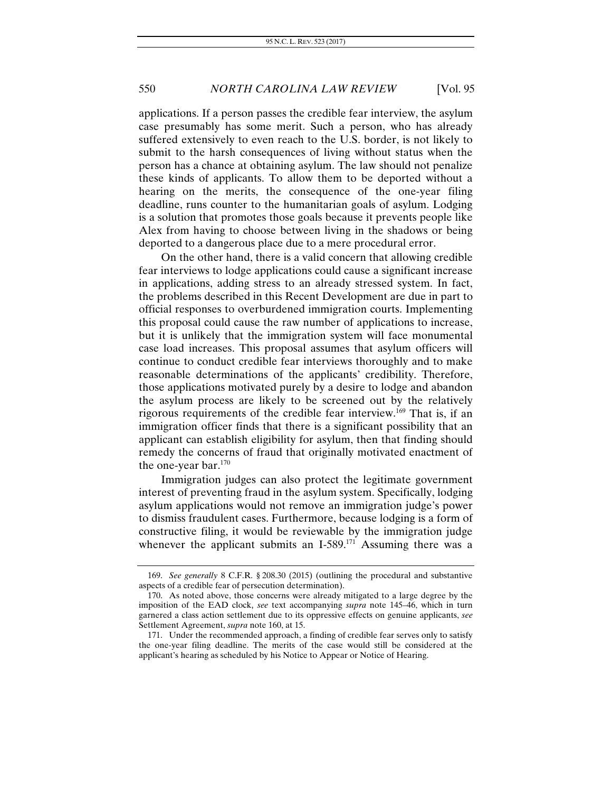applications. If a person passes the credible fear interview, the asylum case presumably has some merit. Such a person, who has already suffered extensively to even reach to the U.S. border, is not likely to submit to the harsh consequences of living without status when the person has a chance at obtaining asylum. The law should not penalize these kinds of applicants. To allow them to be deported without a hearing on the merits, the consequence of the one-year filing deadline, runs counter to the humanitarian goals of asylum. Lodging is a solution that promotes those goals because it prevents people like Alex from having to choose between living in the shadows or being deported to a dangerous place due to a mere procedural error.

On the other hand, there is a valid concern that allowing credible fear interviews to lodge applications could cause a significant increase in applications, adding stress to an already stressed system. In fact, the problems described in this Recent Development are due in part to official responses to overburdened immigration courts. Implementing this proposal could cause the raw number of applications to increase, but it is unlikely that the immigration system will face monumental case load increases. This proposal assumes that asylum officers will continue to conduct credible fear interviews thoroughly and to make reasonable determinations of the applicants' credibility. Therefore, those applications motivated purely by a desire to lodge and abandon the asylum process are likely to be screened out by the relatively rigorous requirements of the credible fear interview.169 That is, if an immigration officer finds that there is a significant possibility that an applicant can establish eligibility for asylum, then that finding should remedy the concerns of fraud that originally motivated enactment of the one-year bar.170

Immigration judges can also protect the legitimate government interest of preventing fraud in the asylum system. Specifically, lodging asylum applications would not remove an immigration judge's power to dismiss fraudulent cases. Furthermore, because lodging is a form of constructive filing, it would be reviewable by the immigration judge whenever the applicant submits an I-589.<sup>171</sup> Assuming there was a

<sup>169.</sup> *See generally* 8 C.F.R. § 208.30 (2015) (outlining the procedural and substantive aspects of a credible fear of persecution determination).

 <sup>170.</sup> As noted above, those concerns were already mitigated to a large degree by the imposition of the EAD clock, *see* text accompanying *supra* note 145–46, which in turn garnered a class action settlement due to its oppressive effects on genuine applicants, *see*  Settlement Agreement, *supra* note 160, at 15.

 <sup>171.</sup> Under the recommended approach, a finding of credible fear serves only to satisfy the one-year filing deadline. The merits of the case would still be considered at the applicant's hearing as scheduled by his Notice to Appear or Notice of Hearing.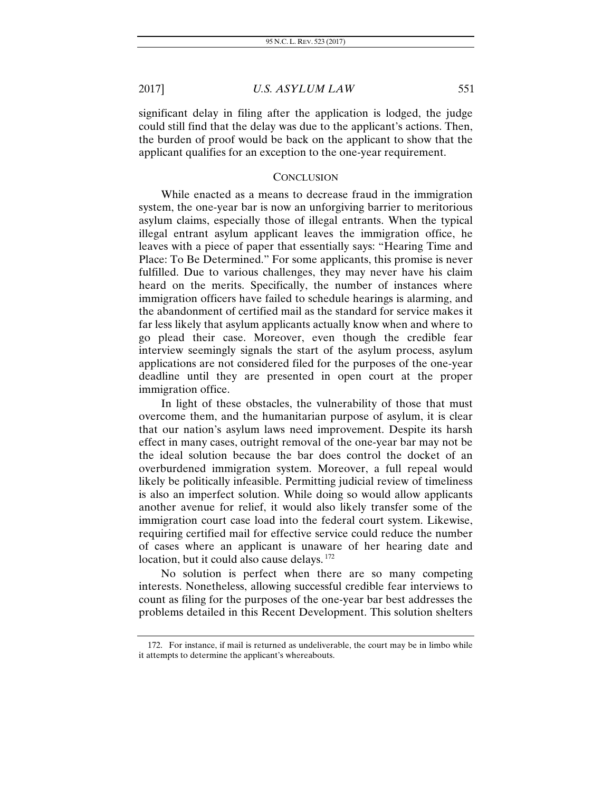significant delay in filing after the application is lodged, the judge could still find that the delay was due to the applicant's actions. Then, the burden of proof would be back on the applicant to show that the applicant qualifies for an exception to the one-year requirement.

#### **CONCLUSION**

While enacted as a means to decrease fraud in the immigration system, the one-year bar is now an unforgiving barrier to meritorious asylum claims, especially those of illegal entrants. When the typical illegal entrant asylum applicant leaves the immigration office, he leaves with a piece of paper that essentially says: "Hearing Time and Place: To Be Determined." For some applicants, this promise is never fulfilled. Due to various challenges, they may never have his claim heard on the merits. Specifically, the number of instances where immigration officers have failed to schedule hearings is alarming, and the abandonment of certified mail as the standard for service makes it far less likely that asylum applicants actually know when and where to go plead their case. Moreover, even though the credible fear interview seemingly signals the start of the asylum process, asylum applications are not considered filed for the purposes of the one-year deadline until they are presented in open court at the proper immigration office.

In light of these obstacles, the vulnerability of those that must overcome them, and the humanitarian purpose of asylum, it is clear that our nation's asylum laws need improvement. Despite its harsh effect in many cases, outright removal of the one-year bar may not be the ideal solution because the bar does control the docket of an overburdened immigration system. Moreover, a full repeal would likely be politically infeasible. Permitting judicial review of timeliness is also an imperfect solution. While doing so would allow applicants another avenue for relief, it would also likely transfer some of the immigration court case load into the federal court system. Likewise, requiring certified mail for effective service could reduce the number of cases where an applicant is unaware of her hearing date and location, but it could also cause delays.<sup>172</sup>

No solution is perfect when there are so many competing interests. Nonetheless, allowing successful credible fear interviews to count as filing for the purposes of the one-year bar best addresses the problems detailed in this Recent Development. This solution shelters

 <sup>172.</sup> For instance, if mail is returned as undeliverable, the court may be in limbo while it attempts to determine the applicant's whereabouts.